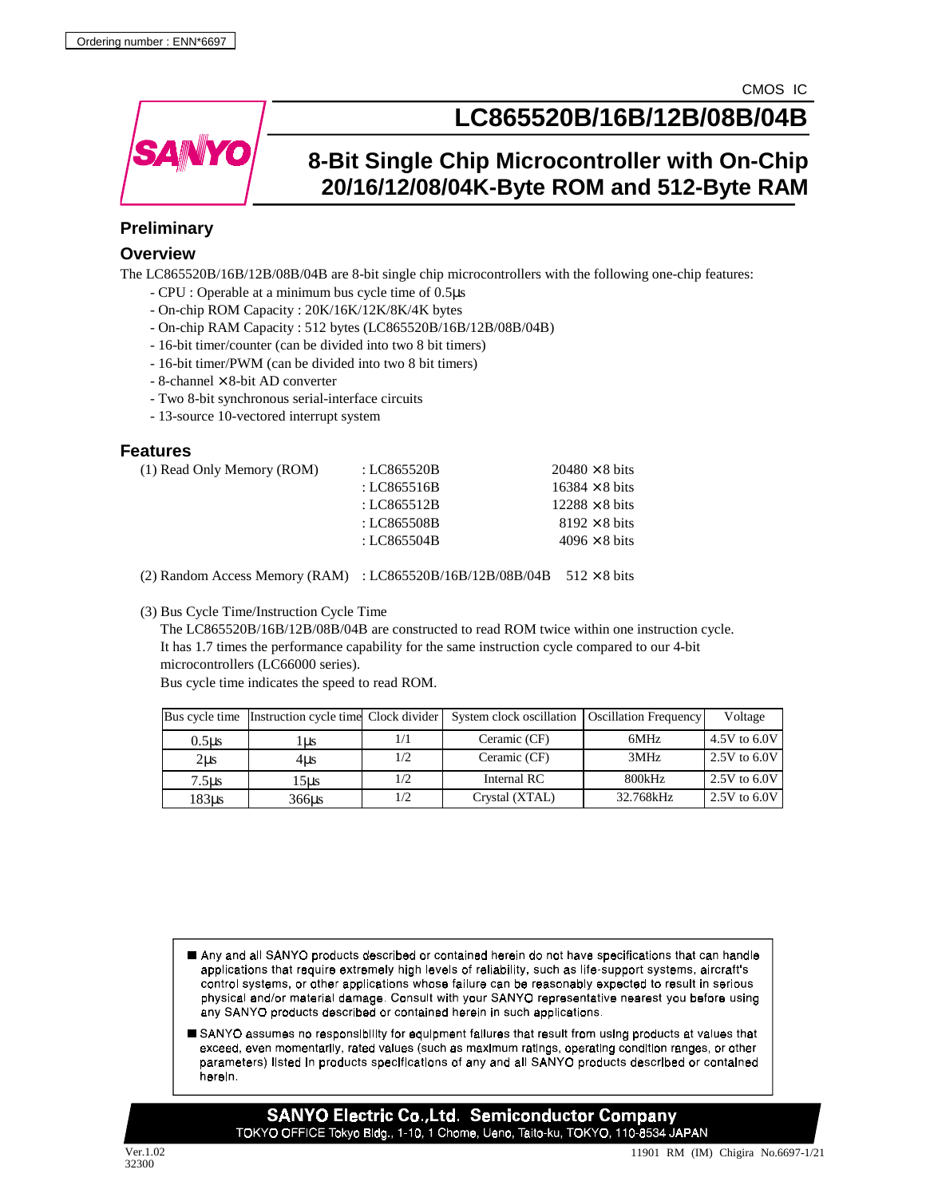

# **LC865520B/16B/12B/08B/04B**

# **8-Bit Single Chip Microcontroller with On-Chip 20/16/12/08/04K-Byte ROM and 512-Byte RAM**

# **Preliminary**

## **Overview**

The LC865520B/16B/12B/08B/04B are 8-bit single chip microcontrollers with the following one-chip features:

- CPU : Operable at a minimum bus cycle time of 0.5µs
- On-chip ROM Capacity : 20K/16K/12K/8K/4K bytes
- On-chip RAM Capacity : 512 bytes (LC865520B/16B/12B/08B/04B)
- 16-bit timer/counter (can be divided into two 8 bit timers)
- 16-bit timer/PWM (can be divided into two 8 bit timers)
- $-$  8-channel  $\times$  8-bit AD converter
- Two 8-bit synchronous serial-interface circuits
- 13-source 10-vectored interrupt system

## **Features**

| (1) Read Only Memory (ROM) | : LC865520B | $20480 \times 8$ bits |
|----------------------------|-------------|-----------------------|
|                            | : LC865516B | $16384 \times 8$ bits |
|                            | : LC865512B | $12288 \times 8$ bits |
|                            | : LC865508B | $8192 \times 8$ bits  |
|                            | : LC865504B | $4096 \times 8$ bits  |
|                            |             |                       |

(2) Random Access Memory (RAM) : LC865520B/16B/12B/08B/04B 512 × 8 bits

(3) Bus Cycle Time/Instruction Cycle Time

 The LC865520B/16B/12B/08B/04B are constructed to read ROM twice within one instruction cycle. It has 1.7 times the performance capability for the same instruction cycle compared to our 4-bit microcontrollers (LC66000 series).

Bus cycle time indicates the speed to read ROM.

|                   | Bus cycle time Instruction cycle time Clock divider |     | System clock oscillation | <b>Oscillation Frequency</b> | Voltage        |
|-------------------|-----------------------------------------------------|-----|--------------------------|------------------------------|----------------|
| 0.5 <sub>us</sub> | Lus                                                 |     | Ceramic (CF)             | 6MHz                         | 4.5V to $6.0V$ |
| $2\mu s$          | 4us                                                 | 1/2 | Ceramic (CF)             | 3MHz                         | 2.5V to $6.0V$ |
| 7.5us             | 15us                                                | 1/2 | Internal RC              | 800kHz                       | 2.5V to $6.0V$ |
| 183us             | 366us                                               | 1/2 | Crystal (XTAL)           | 32.768kHz                    | 2.5V to $6.0V$ |

- Any and all SANYO products described or contained herein do not have specifications that can handle applications that require extremely high levels of reliability, such as life-support systems, aircraft's control systems, or other applications whose failure can be reasonably expected to result in serious physical and/or material damage. Consult with your SANYO representative nearest you before using any SANYO products described or contained herein in such applications.
- SANYO assumes no responsibility for equipment failures that result from using products at values that exceed, even momentarily, rated values (such as maximum ratings, operating condition ranges, or other parameters) listed in products specifications of any and all SANYO products described or contained horoin.

**SANYO Electric Co., Ltd. Semiconductor Company** TOKYO OFFICE Tokyo Bldg., 1-10, 1 Chome, Ueno, Taito-ku, TOKYO, 110-8534 JAPAN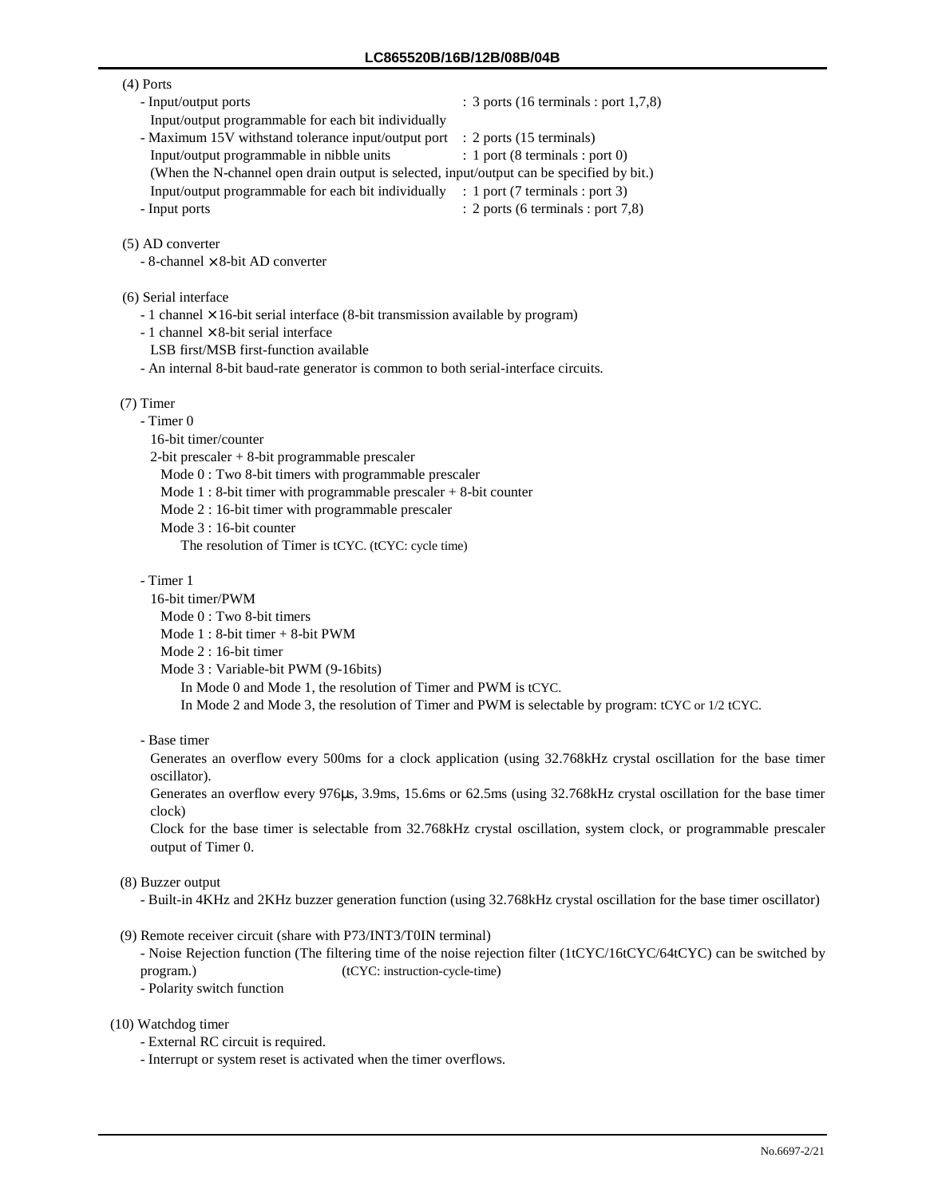#### (4) Ports

- 
- Input/output ports : 3 ports (16 terminals : port 1,7,8)
- Input/output programmable for each bit individually
- Maximum 15V withstand tolerance input/output port : 2 ports (15 terminals)

- Input/output programmable in nibble units : 1 port (8 terminals : port 0) (When the N-channel open drain output is selected, input/output can be specified by bit.)
- Input/output programmable for each bit individually : 1 port (7 terminals : port 3)
- Input ports : 2 ports (6 terminals : port 7,8)
- (5) AD converter

 $-$  8-channel  $\times$  8-bit AD converter

- (6) Serial interface
	- $-1$  channel  $\times$  16-bit serial interface (8-bit transmission available by program)
	- 1 channel  $\times$  8-bit serial interface
	- LSB first/MSB first-function available
	- An internal 8-bit baud-rate generator is common to both serial-interface circuits.

#### (7) Timer

- Timer 0 16-bit timer/counter

2-bit prescaler + 8-bit programmable prescaler

Mode 0 : Two 8-bit timers with programmable prescaler

- Mode 1 : 8-bit timer with programmable prescaler + 8-bit counter
- Mode 2 : 16-bit timer with programmable prescaler

Mode 3 : 16-bit counter

The resolution of Timer is tCYC. (tCYC: cycle time)

- Timer 1

- 16-bit timer/PWM
	- Mode 0 : Two 8-bit timers

Mode 1 : 8-bit timer + 8-bit PWM

Mode 2 : 16-bit timer

Mode 3 : Variable-bit PWM (9-16bits)

In Mode 0 and Mode 1, the resolution of Timer and PWM is tCYC.

In Mode 2 and Mode 3, the resolution of Timer and PWM is selectable by program: tCYC or 1/2 tCYC.

- Base timer

Generates an overflow every 500ms for a clock application (using 32.768kHz crystal oscillation for the base timer oscillator).

Generates an overflow every 976µs, 3.9ms, 15.6ms or 62.5ms (using 32.768kHz crystal oscillation for the base timer clock)

Clock for the base timer is selectable from 32.768kHz crystal oscillation, system clock, or programmable prescaler output of Timer 0.

### (8) Buzzer output

- Built-in 4KHz and 2KHz buzzer generation function (using 32.768kHz crystal oscillation for the base timer oscillator)

(9) Remote receiver circuit (share with P73/INT3/T0IN terminal)

- Noise Rejection function (The filtering time of the noise rejection filter (1tCYC/16tCYC/64tCYC) can be switched by program.) (tCYC: instruction-cycle-time)

- Polarity switch function

#### (10) Watchdog timer

- External RC circuit is required.

- Interrupt or system reset is activated when the timer overflows.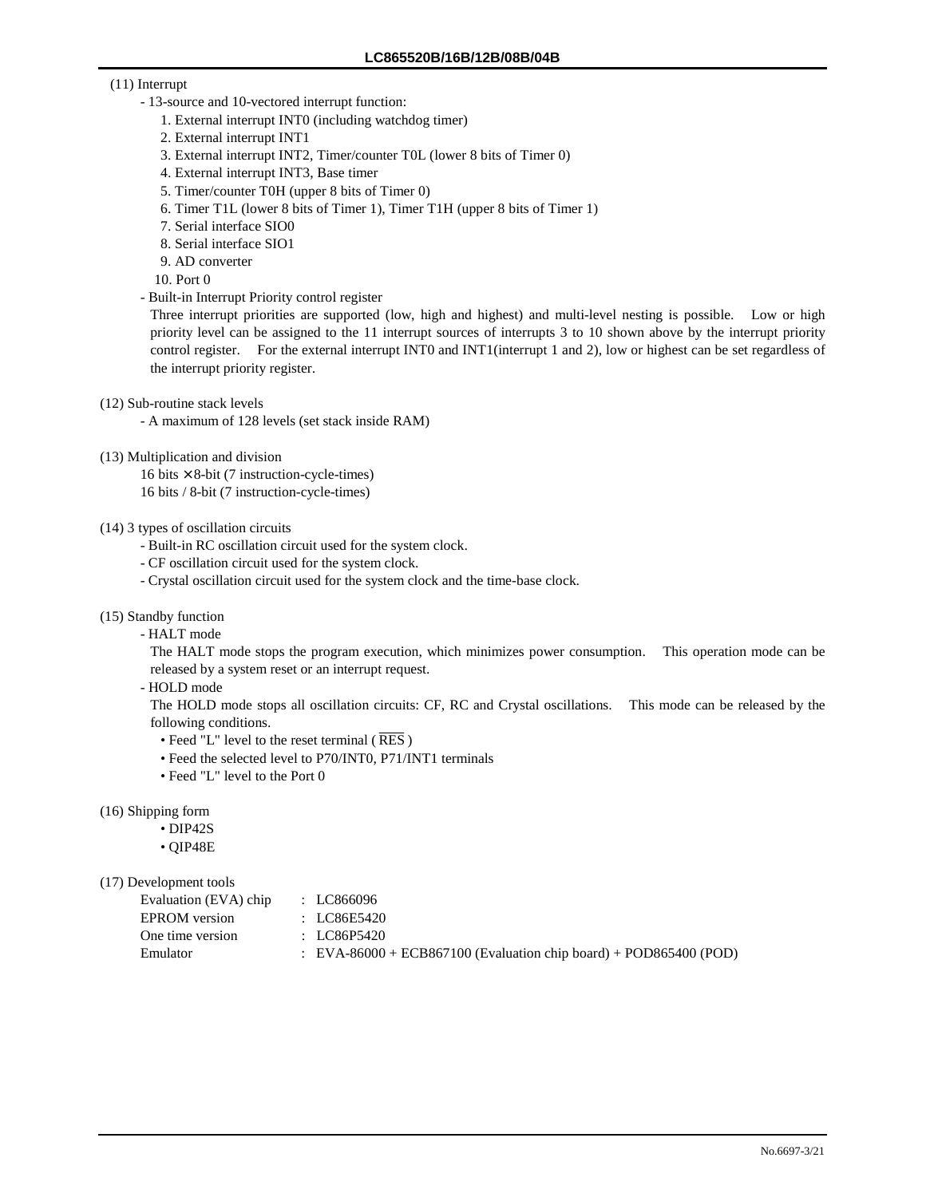### (11) Interrupt

- 13-source and 10-vectored interrupt function:
	- 1. External interrupt INT0 (including watchdog timer)
	- 2. External interrupt INT1
	- 3. External interrupt INT2, Timer/counter T0L (lower 8 bits of Timer 0)
	- 4. External interrupt INT3, Base timer
	- 5. Timer/counter T0H (upper 8 bits of Timer 0)
	- 6. Timer T1L (lower 8 bits of Timer 1), Timer T1H (upper 8 bits of Timer 1)
	- 7. Serial interface SIO0
	- 8. Serial interface SIO1
	- 9. AD converter
	- 10. Port 0
- Built-in Interrupt Priority control register

Three interrupt priorities are supported (low, high and highest) and multi-level nesting is possible. Low or high priority level can be assigned to the 11 interrupt sources of interrupts 3 to 10 shown above by the interrupt priority control register. For the external interrupt INT0 and INT1(interrupt 1 and 2), low or highest can be set regardless of the interrupt priority register.

- (12) Sub-routine stack levels
	- A maximum of 128 levels (set stack inside RAM)
- (13) Multiplication and division
	- 16 bits  $\times$  8-bit (7 instruction-cycle-times) 16 bits / 8-bit (7 instruction-cycle-times)

#### (14) 3 types of oscillation circuits

- Built-in RC oscillation circuit used for the system clock.
- CF oscillation circuit used for the system clock.
- Crystal oscillation circuit used for the system clock and the time-base clock.
- (15) Standby function
	- HALT mode

The HALT mode stops the program execution, which minimizes power consumption. This operation mode can be released by a system reset or an interrupt request.

- HOLD mode

The HOLD mode stops all oscillation circuits: CF, RC and Crystal oscillations. This mode can be released by the following conditions.

- Feed "L" level to the reset terminal ( $\overline{\text{RES}}$ )
- Feed the selected level to P70/INT0, P71/INT1 terminals
- Feed "L" level to the Port 0

(16) Shipping form

- DIP42S
- QIP48E

## (17) Development tools

| Evaluation (EVA) chip<br>: LC866096 |                                                                       |
|-------------------------------------|-----------------------------------------------------------------------|
| EPROM version<br>: LC86E5420        |                                                                       |
| One time version<br>: LC86P5420     |                                                                       |
| Emulator                            | $\pm$ EVA-86000 + ECB867100 (Evaluation chip board) + POD865400 (POD) |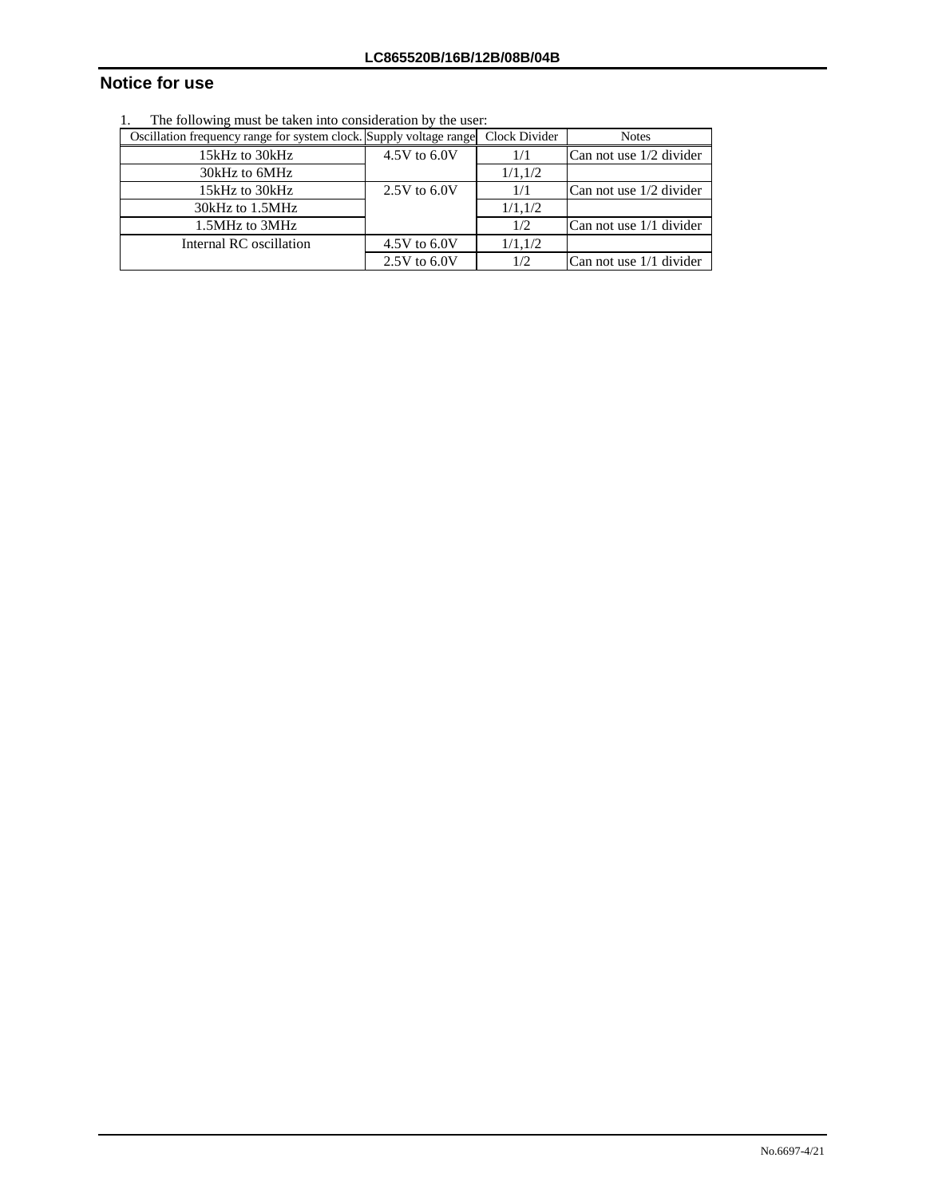# **Notice for use**

1. The following must be taken into consideration by the user:

| Oscillation frequency range for system clock. Supply voltage range Clock Divider |                  |          | <b>Notes</b>            |
|----------------------------------------------------------------------------------|------------------|----------|-------------------------|
| 15kHz to 30kHz                                                                   | 4.5V to 6.0V     | 1/1      | Can not use 1/2 divider |
| 30kHz to 6MHz                                                                    |                  | 1/1, 1/2 |                         |
| 15kHz to 30kHz                                                                   | $2.5V$ to $6.0V$ | 1/1      | Can not use 1/2 divider |
| 30kHz to 1.5MHz                                                                  |                  | 1/1.1/2  |                         |
| 1.5MHz to 3MHz                                                                   |                  | 1/2      | Can not use 1/1 divider |
| Internal RC oscillation                                                          | 4.5V to $6.0V$   | 1/1, 1/2 |                         |
|                                                                                  | $2.5V$ to $6.0V$ | 1/2      | Can not use 1/1 divider |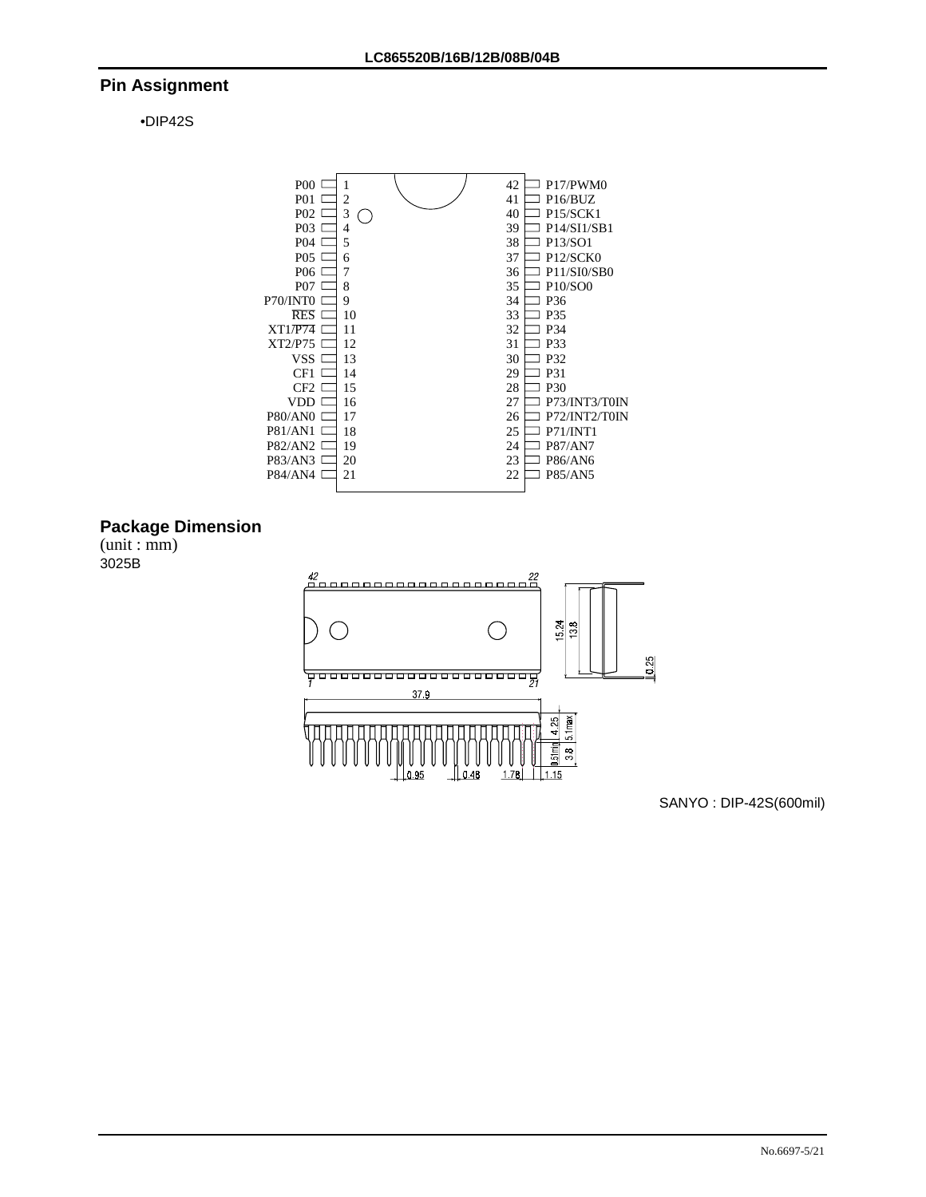## **Pin Assignment**

•DIP42S



# **Package Dimension**

(unit : mm) 3025B



SANYO : DIP-42S(600mil)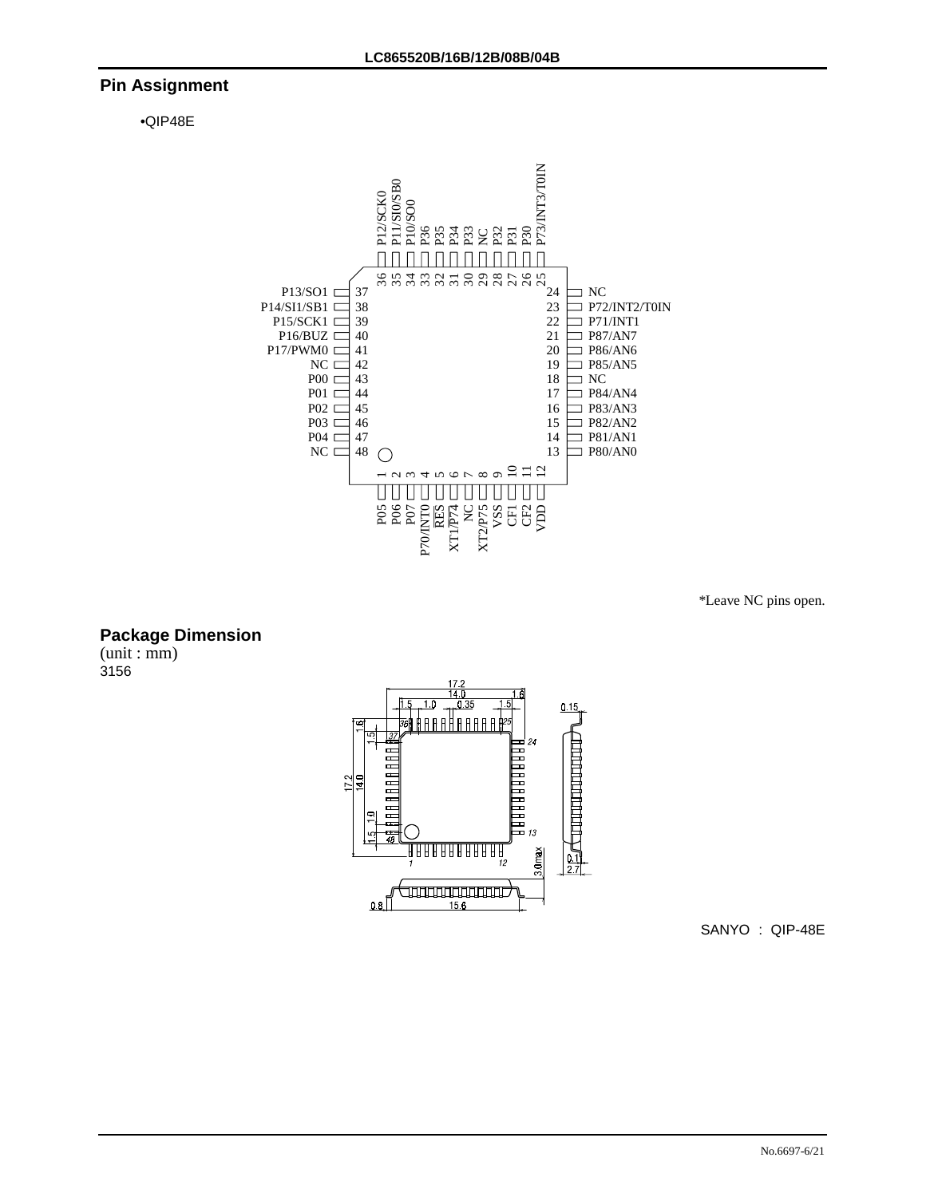## **Pin Assignment**

•QIP48E



\*Leave NC pins open.

## **Package Dimension**

(unit : mm) 3156



SANYO : QIP-48E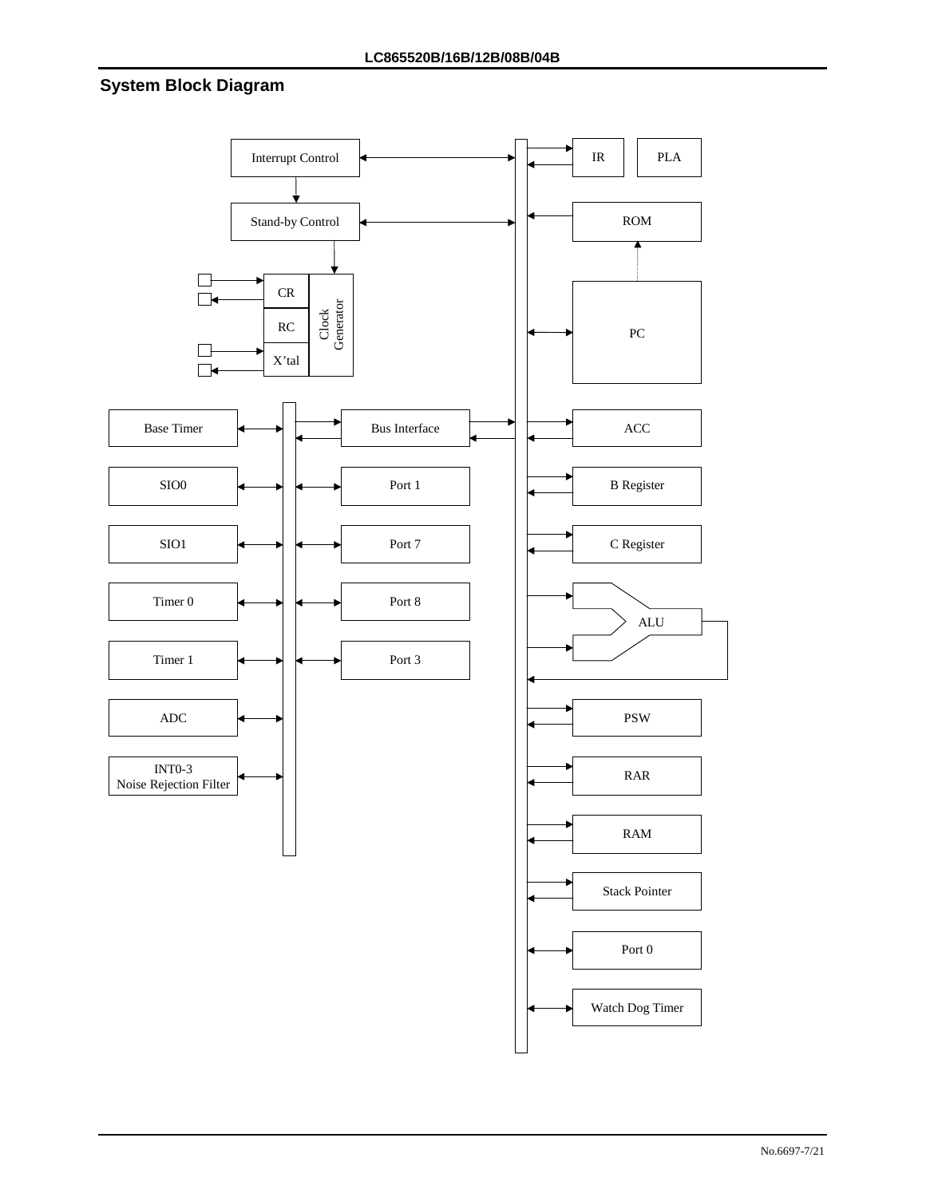# **System Block Diagram**

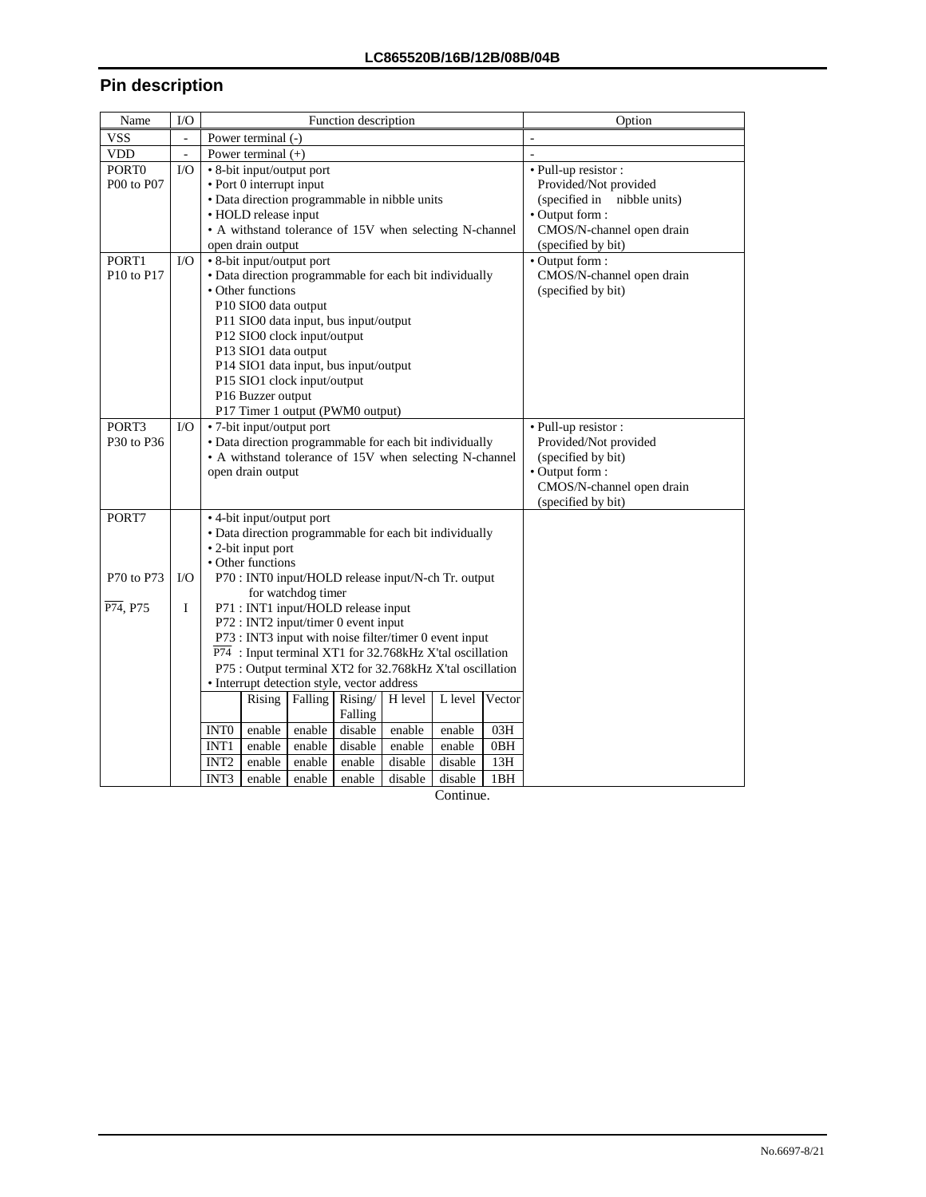# **Pin description**

| Name                               | I/O                      |                  |                                         |                    | Function description                        |                                                                       |         |        | Option                      |
|------------------------------------|--------------------------|------------------|-----------------------------------------|--------------------|---------------------------------------------|-----------------------------------------------------------------------|---------|--------|-----------------------------|
| <b>VSS</b>                         | $\overline{\phantom{0}}$ |                  | Power terminal (-)                      |                    |                                             |                                                                       |         |        |                             |
| <b>VDD</b>                         | $\mathbb{Z}^2$           |                  | Power terminal $(+)$                    |                    |                                             |                                                                       |         |        | L.                          |
| PORT <sub>0</sub>                  | $\rm LO$                 |                  | • 8-bit input/output port               |                    |                                             |                                                                       |         |        | · Pull-up resistor :        |
| P00 to P07                         |                          |                  | • Port 0 interrupt input                |                    |                                             |                                                                       |         |        | Provided/Not provided       |
|                                    |                          |                  |                                         |                    |                                             | · Data direction programmable in nibble units                         |         |        | (specified in nibble units) |
|                                    |                          |                  | • HOLD release input                    |                    |                                             |                                                                       |         |        | • Output form :             |
|                                    |                          |                  |                                         |                    |                                             | • A withstand tolerance of 15V when selecting N-channel               |         |        | CMOS/N-channel open drain   |
|                                    |                          |                  | open drain output                       |                    |                                             |                                                                       |         |        | (specified by bit)          |
| PORT1                              | $\rm LO$                 |                  | • 8-bit input/output port               |                    |                                             |                                                                       |         |        | • Output form:              |
| P <sub>10</sub> to P <sub>17</sub> |                          |                  |                                         |                    |                                             | · Data direction programmable for each bit individually               |         |        | CMOS/N-channel open drain   |
|                                    |                          |                  | • Other functions                       |                    |                                             |                                                                       |         |        | (specified by bit)          |
|                                    |                          |                  | P10 SIO0 data output                    |                    |                                             |                                                                       |         |        |                             |
|                                    |                          |                  | P11 SIO0 data input, bus input/output   |                    |                                             |                                                                       |         |        |                             |
|                                    |                          |                  | P12 SIO0 clock input/output             |                    |                                             |                                                                       |         |        |                             |
|                                    |                          |                  | P13 SIO1 data output                    |                    |                                             |                                                                       |         |        |                             |
|                                    |                          |                  |                                         |                    | P14 SIO1 data input, bus input/output       |                                                                       |         |        |                             |
|                                    |                          |                  | P15 SIO1 clock input/output             |                    |                                             |                                                                       |         |        |                             |
|                                    |                          |                  | P16 Buzzer output                       |                    |                                             |                                                                       |         |        |                             |
|                                    |                          |                  |                                         |                    | P17 Timer 1 output (PWM0 output)            |                                                                       |         |        |                             |
| PORT3                              | $\rm LO$                 |                  | • 7-bit input/output port               |                    |                                             |                                                                       |         |        | · Pull-up resistor :        |
| P30 to P36                         |                          |                  |                                         |                    |                                             | · Data direction programmable for each bit individually               |         |        | Provided/Not provided       |
|                                    |                          |                  |                                         |                    |                                             | • A withstand tolerance of 15V when selecting N-channel               |         |        | (specified by bit)          |
|                                    |                          |                  | open drain output                       |                    |                                             |                                                                       |         |        | • Output form:              |
|                                    |                          |                  |                                         |                    |                                             |                                                                       |         |        | CMOS/N-channel open drain   |
|                                    |                          |                  |                                         |                    |                                             |                                                                       |         |        | (specified by bit)          |
| PORT7                              |                          |                  | • 4-bit input/output port               |                    |                                             |                                                                       |         |        |                             |
|                                    |                          |                  |                                         |                    |                                             | · Data direction programmable for each bit individually               |         |        |                             |
|                                    |                          |                  | • 2-bit input port<br>• Other functions |                    |                                             |                                                                       |         |        |                             |
| P70 to P73                         | $\rm LO$                 |                  |                                         |                    |                                             | P70 : INT0 input/HOLD release input/N-ch Tr. output                   |         |        |                             |
|                                    |                          |                  |                                         | for watchdog timer |                                             |                                                                       |         |        |                             |
| P74, P75                           | $\mathbf I$              |                  |                                         |                    | P71 : INT1 input/HOLD release input         |                                                                       |         |        |                             |
|                                    |                          |                  |                                         |                    | P72 : INT2 input/timer 0 event input        |                                                                       |         |        |                             |
|                                    |                          |                  |                                         |                    |                                             | P73 : INT3 input with noise filter/timer 0 event input                |         |        |                             |
|                                    |                          |                  |                                         |                    |                                             | $\overline{P74}$ : Input terminal XT1 for 32.768kHz X'tal oscillation |         |        |                             |
|                                    |                          |                  |                                         |                    |                                             | P75 : Output terminal XT2 for 32.768kHz X'tal oscillation             |         |        |                             |
|                                    |                          |                  |                                         |                    | • Interrupt detection style, vector address |                                                                       |         |        |                             |
|                                    |                          |                  | Rising                                  | Falling            | Rising/                                     | H level                                                               | L level | Vector |                             |
|                                    |                          |                  |                                         |                    | Falling                                     |                                                                       |         |        |                             |
|                                    |                          | INT <sub>0</sub> | enable                                  | enable             | disable                                     | enable                                                                | enable  | 03H    |                             |
|                                    |                          | INT <sub>1</sub> | enable                                  | enable             | disable                                     | enable                                                                | enable  | 0BH    |                             |
|                                    |                          | INT <sub>2</sub> | enable                                  | enable             | enable                                      | disable                                                               | disable | 13H    |                             |
|                                    |                          | INT3             | enable                                  | enable             | enable                                      | disable                                                               | disable | 1BH    |                             |

Continue.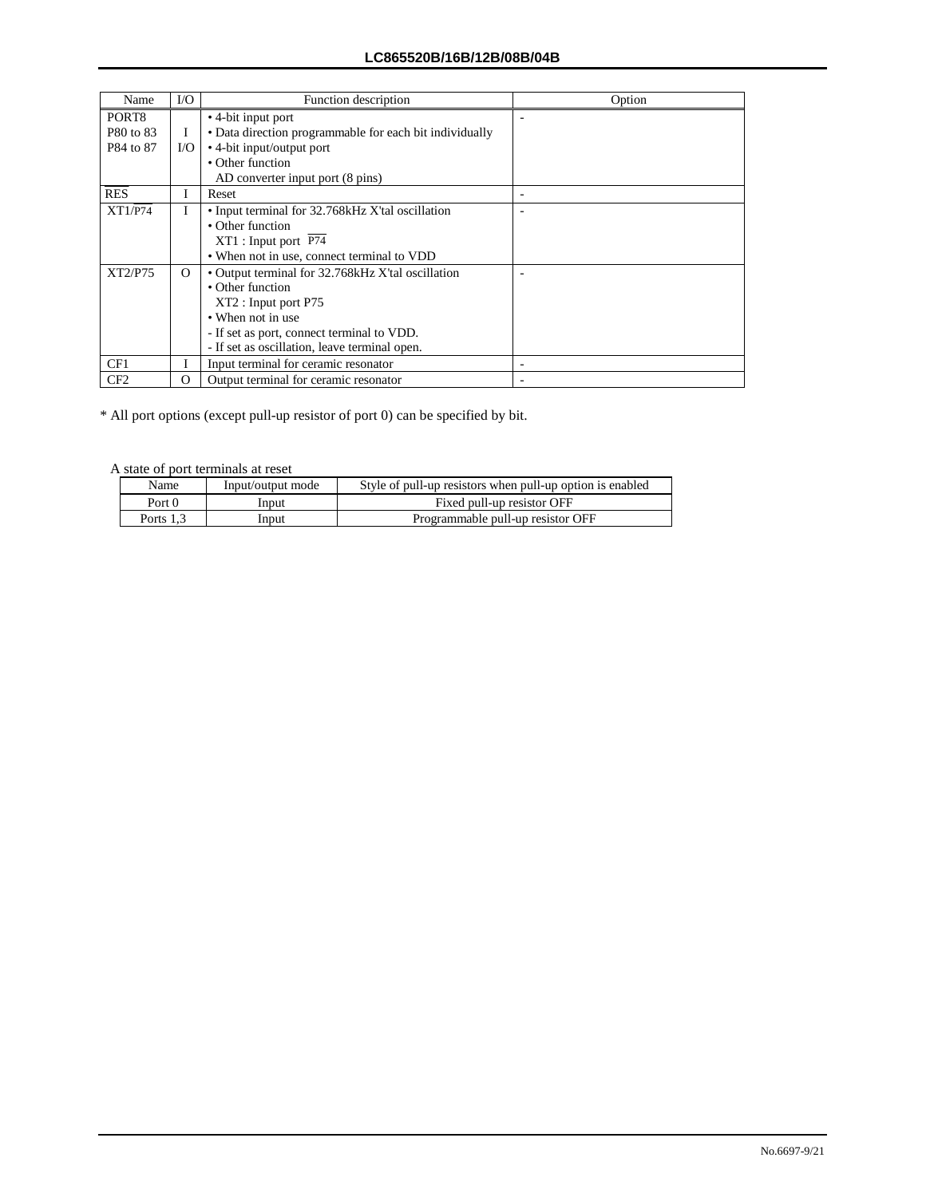| Name            | $\rm LO$ | Function description                                    | Option |
|-----------------|----------|---------------------------------------------------------|--------|
| PORT8           |          | • 4-bit input port                                      |        |
| P80 to 83       | Ι        | • Data direction programmable for each bit individually |        |
| P84 to 87       | I/O      | • 4-bit input/output port                               |        |
|                 |          | • Other function                                        |        |
|                 |          | AD converter input port (8 pins)                        |        |
| <b>RES</b>      | I        | Reset                                                   |        |
| XT1/P74         | L        | • Input terminal for 32.768 kHz X'tal oscillation       |        |
|                 |          | • Other function                                        |        |
|                 |          | XT1: Input port P74                                     |        |
|                 |          | • When not in use, connect terminal to VDD              |        |
| XT2/P75         | $\Omega$ | • Output terminal for 32.768 kHz X'tal oscillation      |        |
|                 |          | • Other function                                        |        |
|                 |          | XT2: Input port P75                                     |        |
|                 |          | • When not in use                                       |        |
|                 |          | - If set as port, connect terminal to VDD.              |        |
|                 |          | - If set as oscillation, leave terminal open.           |        |
| CF1             |          | Input terminal for ceramic resonator                    |        |
| CF <sub>2</sub> | $\Omega$ | Output terminal for ceramic resonator                   |        |

\* All port options (except pull-up resistor of port 0) can be specified by bit.

A state of port terminals at reset

| Name      | Input/output mode | Style of pull-up resistors when pull-up option is enabled |  |  |  |  |
|-----------|-------------------|-----------------------------------------------------------|--|--|--|--|
| Port 0    | Input             | Fixed pull-up resistor OFF                                |  |  |  |  |
| Ports 1.3 | Input             | Programmable pull-up resistor OFF                         |  |  |  |  |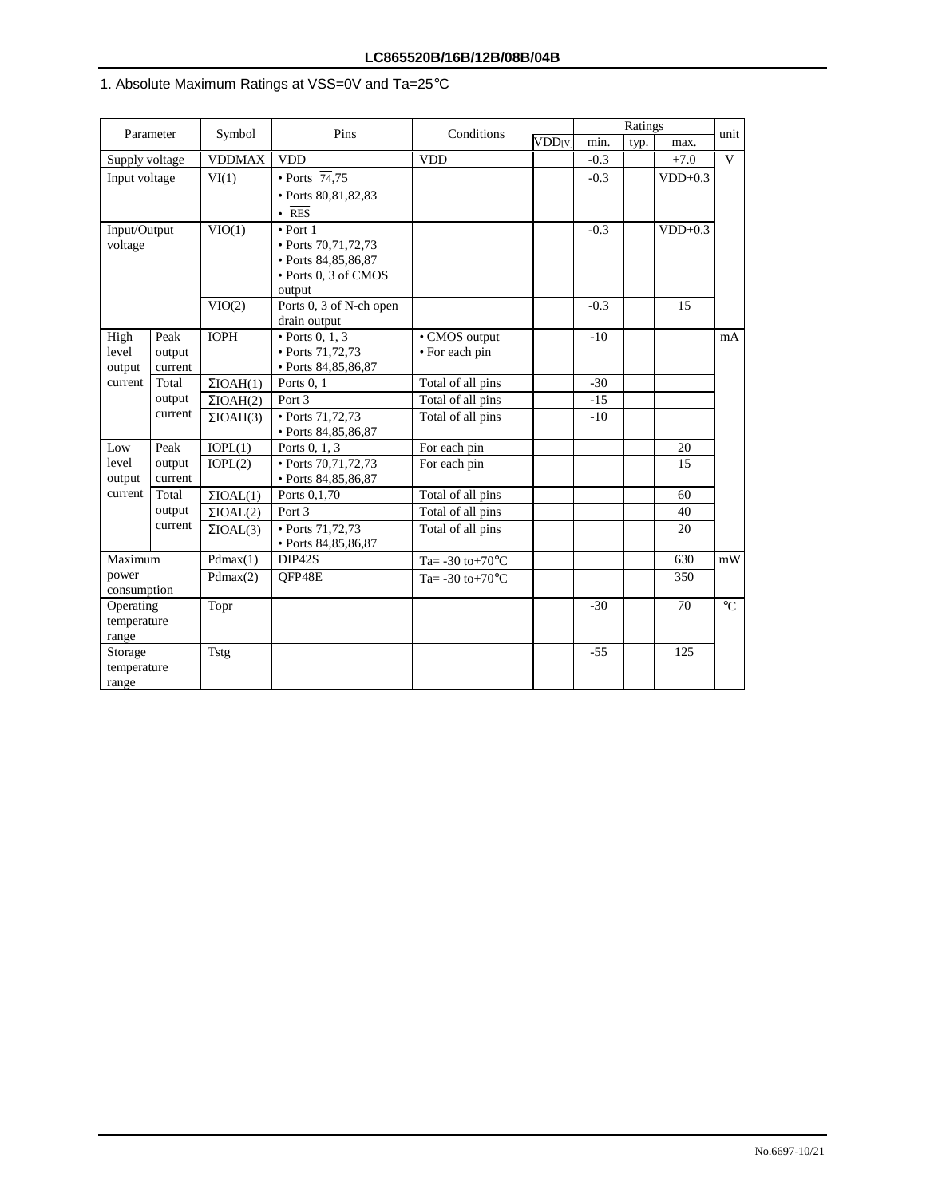# 1. Absolute Maximum Ratings at VSS=0V and Ta=25°C

| Parameter            |                   | Symbol              | Pins                              | Conditions                   |                           |        | unit |           |                                                  |
|----------------------|-------------------|---------------------|-----------------------------------|------------------------------|---------------------------|--------|------|-----------|--------------------------------------------------|
|                      |                   |                     |                                   |                              | <b>VDD</b> <sub>[V]</sub> | min.   | typ. | max.      |                                                  |
| Supply voltage       |                   | <b>VDDMAX</b>       | <b>VDD</b>                        | <b>VDD</b>                   |                           | $-0.3$ |      | $+7.0$    | V                                                |
| Input voltage        |                   | VI(1)               | $\cdot$ Ports $\overline{74}, 75$ |                              |                           | $-0.3$ |      | $VDD+0.3$ |                                                  |
|                      |                   |                     | • Ports 80,81,82,83               |                              |                           |        |      |           |                                                  |
|                      |                   |                     | $\overline{RES}$                  |                              |                           |        |      |           |                                                  |
| Input/Output         |                   | VIO(1)              | $\bullet$ Port 1                  |                              |                           | $-0.3$ |      | $VDD+0.3$ |                                                  |
| voltage              |                   |                     | • Ports 70,71,72,73               |                              |                           |        |      |           |                                                  |
|                      |                   |                     | • Ports 84,85,86,87               |                              |                           |        |      |           |                                                  |
|                      |                   |                     | • Ports 0, 3 of CMOS              |                              |                           |        |      |           |                                                  |
|                      |                   |                     | output                            |                              |                           |        |      |           |                                                  |
|                      |                   | VIO(2)              | Ports $0$ , $3$ of N-ch open      |                              |                           | $-0.3$ |      | 15        |                                                  |
|                      |                   |                     | drain output                      |                              |                           |        |      |           |                                                  |
| High                 | Peak              | <b>IOPH</b>         | $\bullet$ Ports 0, 1, 3           | • CMOS output                |                           | $-10$  |      |           | mA                                               |
| level                | output            |                     | • Ports 71,72,73                  | • For each pin               |                           |        |      |           |                                                  |
| output               | current           |                     | • Ports 84,85,86,87               |                              |                           |        |      |           |                                                  |
| current              | Total             | $\Sigma$ IOAH $(1)$ | Ports $0, 1$                      | Total of all pins            |                           | $-30$  |      |           |                                                  |
|                      | output<br>current | $\Sigma$ IOAH(2)    | Port 3                            | Total of all pins            |                           | $-15$  |      |           |                                                  |
|                      |                   | $\Sigma$ IOAH(3)    | • Ports 71,72,73                  | Total of all pins            |                           | $-10$  |      |           |                                                  |
|                      |                   |                     | • Ports 84,85,86,87               |                              |                           |        |      |           |                                                  |
| Low                  | Peak              | IOPL(1)             | Ports 0, 1, 3                     | For each pin                 |                           |        |      | 20        |                                                  |
| level                | output            | IOPL(2)             | • Ports 70,71,72,73               | For each pin                 |                           |        |      | 15        |                                                  |
| output<br>current    | current           |                     | • Ports 84,85,86,87               |                              |                           |        |      |           |                                                  |
|                      | Total             | $\Sigma$ IOAL(1)    | Ports 0,1,70                      | Total of all pins            |                           |        |      | 60        |                                                  |
|                      | output            | $\Sigma$ IOAL(2)    | Port 3                            | Total of all pins            |                           |        |      | 40        |                                                  |
|                      | current           | $\Sigma$ IOAL(3)    | $\cdot$ Ports 71,72,73            | Total of all pins            |                           |        |      | 20        |                                                  |
|                      |                   |                     | • Ports 84,85,86,87               |                              |                           |        |      |           |                                                  |
| Maximum              |                   | Pdmax(1)            | DIP42S                            | Ta= $-30$ to $+70^{\circ}$ C |                           |        |      | 630       | $\ensuremath{\mathrm{m}}\ensuremath{\mathrm{W}}$ |
| power<br>consumption |                   | Pdmax(2)            | OFP48E                            | Ta= $-30$ to $+70$ °C        |                           |        |      | 350       |                                                  |
| Operating            |                   | Topr                |                                   |                              |                           | $-30$  |      | 70        | $^{\circ}C$                                      |
| temperature          |                   |                     |                                   |                              |                           |        |      |           |                                                  |
| range                |                   |                     |                                   |                              |                           |        |      |           |                                                  |
| Storage              |                   | Tstg                |                                   |                              |                           | $-55$  |      | 125       |                                                  |
| temperature          |                   |                     |                                   |                              |                           |        |      |           |                                                  |
| range                |                   |                     |                                   |                              |                           |        |      |           |                                                  |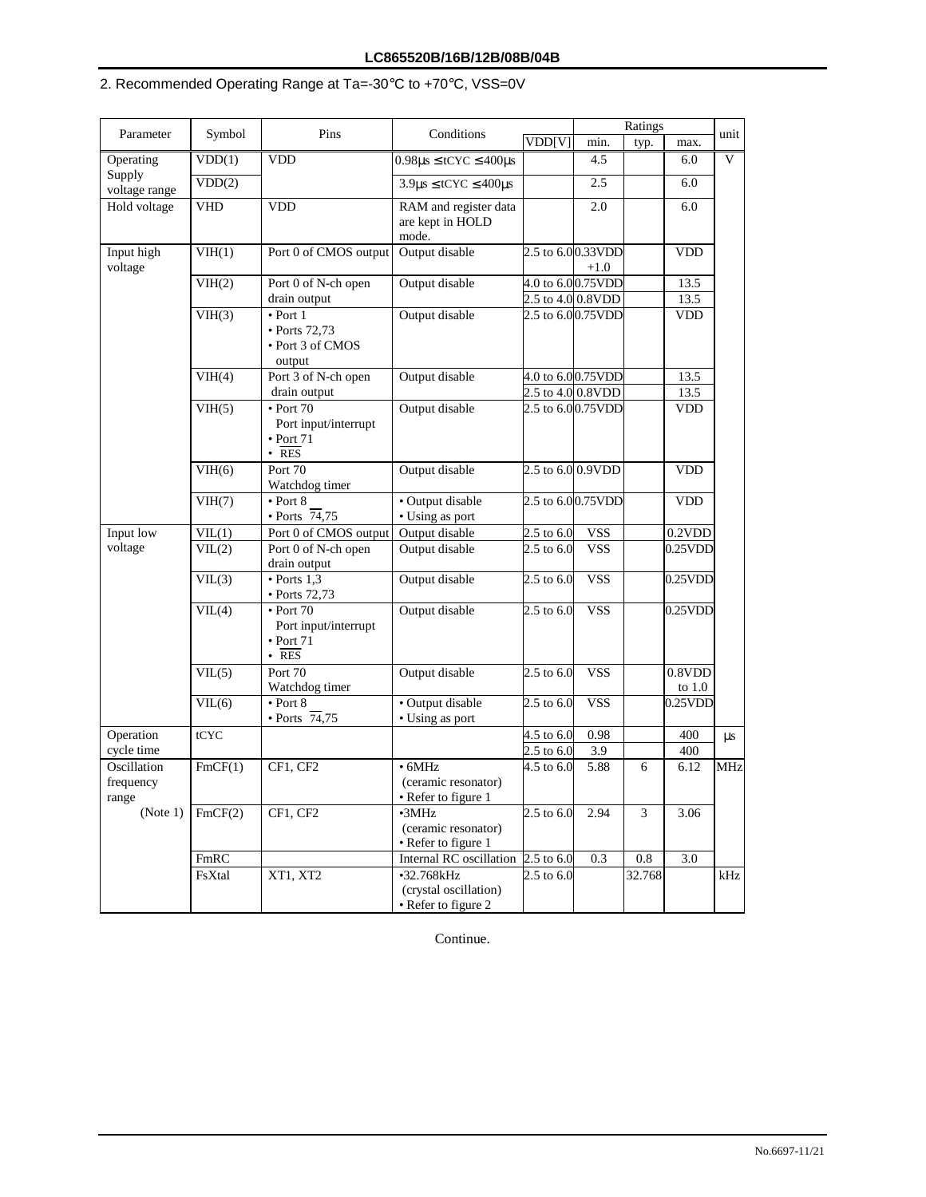# 2. Recommended Operating Range at Ta=-30°C to +70°C, VSS=0V

|                         |            | Pins                                                                               | Conditions                                                 |                              |                                            | Ratings |                             |            |
|-------------------------|------------|------------------------------------------------------------------------------------|------------------------------------------------------------|------------------------------|--------------------------------------------|---------|-----------------------------|------------|
| Parameter               | Symbol     |                                                                                    |                                                            | VDD[V]                       | min.                                       | typ.    | max.                        | unit       |
| Operating               | VDD(1)     | <b>VDD</b>                                                                         | $0.98\mu$ s $\leq$ tCYC $\leq$ 400 $\mu$ s                 |                              | 4.5                                        |         | 6.0                         | V          |
| Supply<br>voltage range | VDD(2)     |                                                                                    | $3.9 \mu s \leq tCYC \leq 400 \mu s$                       |                              | 2.5                                        |         | 6.0                         |            |
| Hold voltage            | <b>VHD</b> | <b>VDD</b>                                                                         | RAM and register data<br>are kept in HOLD<br>mode.         |                              | 2.0                                        |         | 6.0                         |            |
| Input high<br>voltage   | VIH(1)     | Port 0 of CMOS output                                                              | Output disable                                             |                              | 2.5 to 6.00.33VDD<br>$+1.0$                |         | VDD                         |            |
|                         | VIH(2)     | Port 0 of N-ch open<br>drain output                                                | Output disable                                             |                              | 4.0 to 6.00.75VDD<br>2.5 to 4.0 0.8VDD     |         | 13.5<br>13.5                |            |
|                         | VIH(3)     | $\bullet$ Port 1<br>• Ports 72,73<br>• Port 3 of CMOS<br>output                    | Output disable                                             |                              | 2.5 to 6.00.75VDD                          |         | <b>VDD</b>                  |            |
|                         | VIH(4)     | Port 3 of N-ch open<br>drain output                                                | Output disable                                             |                              | 4.0 to 6.00.75VDD<br>$2.5$ to $4.0$ 0.8VDD |         | 13.5<br>13.5                |            |
|                         | VIH(5)     | $\bullet$ Port 70<br>Port input/interrupt<br>$\bullet$ Port 71<br>$\cdot$ RES      | Output disable                                             |                              | 2.5 to 6.00.75VDD                          |         | <b>VDD</b>                  |            |
|                         | VIH(6)     | Port 70<br>Watchdog timer                                                          | Output disable                                             |                              | 2.5 to 6.0 0.9VDD                          |         | VDD                         |            |
|                         | VIH(7)     | $\bullet$ Port 8<br>$\cdot$ Ports $\overline{74,75}$                               | · Output disable<br>• Using as port                        |                              | 2.5 to 6.00.75VDD                          |         | $\ensuremath{\mathsf{VDD}}$ |            |
| Input low               | VIL(1)     | Port 0 of CMOS output                                                              | Output disable                                             | $2.5$ to $6.0$               | <b>VSS</b>                                 |         | 0.2VDD                      |            |
| voltage                 | VIL(2)     | Port 0 of N-ch open<br>drain output                                                | Output disable                                             | $2.5$ to 6.0                 | <b>VSS</b>                                 |         | $0.25$ VDD                  |            |
|                         | VIL(3)     | $\bullet$ Ports 1,3<br>$\bullet$ Ports 72,73                                       | Output disable                                             | $2.5$ to 6.0                 | <b>VSS</b>                                 |         | $0.25$ VDD                  |            |
|                         | VIL(4)     | $\bullet$ Port 70<br>Port input/interrupt<br>$\bullet$ Port 71<br>$\overline{RES}$ | Output disable                                             | $2.5 \text{ to } 6.0$        | <b>VSS</b>                                 |         | $0.25$ VDD                  |            |
|                         | VIL(5)     | Port 70<br>Watchdog timer                                                          | Output disable                                             | $2.5$ to 6.0                 | <b>VSS</b>                                 |         | 0.8VDD<br>to $1.0$          |            |
|                         | VIL(6)     | $\bullet$ Port 8<br>$\cdot$ Ports $\overline{74}, 75$                              | · Output disable<br>• Using as port                        | 2.5 to 6.0                   | <b>VSS</b>                                 |         | $0.25$ VDD                  |            |
| Operation<br>cycle time | tCYC       |                                                                                    |                                                            | $4.5$ to $6.0$               | 0.98                                       |         | 400                         | μs         |
| Oscillation             | FmCF(1)    | CF1, CF2                                                                           | $\bullet$ 6MHz                                             | $2.5$ to $6.0$<br>4.5 to 6.0 | 3.9<br>5.88                                | 6       | 400<br>6.12                 | <b>MHz</b> |
| frequency<br>range      |            |                                                                                    | (ceramic resonator)<br>• Refer to figure 1                 |                              |                                            |         |                             |            |
| (Note 1)                | FmCF(2)    | CF1, CF2                                                                           | $\cdot$ 3MHz<br>(ceramic resonator)<br>• Refer to figure 1 | $2.5$ to $6.0$               | 2.94                                       | 3       | 3.06                        |            |
|                         | FmRC       |                                                                                    | Internal RC oscillation                                    | $2.5$ to $6.0$               | 0.3                                        | 0.8     | 3.0                         |            |
|                         | FsXtal     | XT1, XT2                                                                           | •32.768kHz<br>(crystal oscillation)<br>• Refer to figure 2 | $2.5 \text{ to } 6.0$        |                                            | 32.768  |                             | kHz        |

Continue.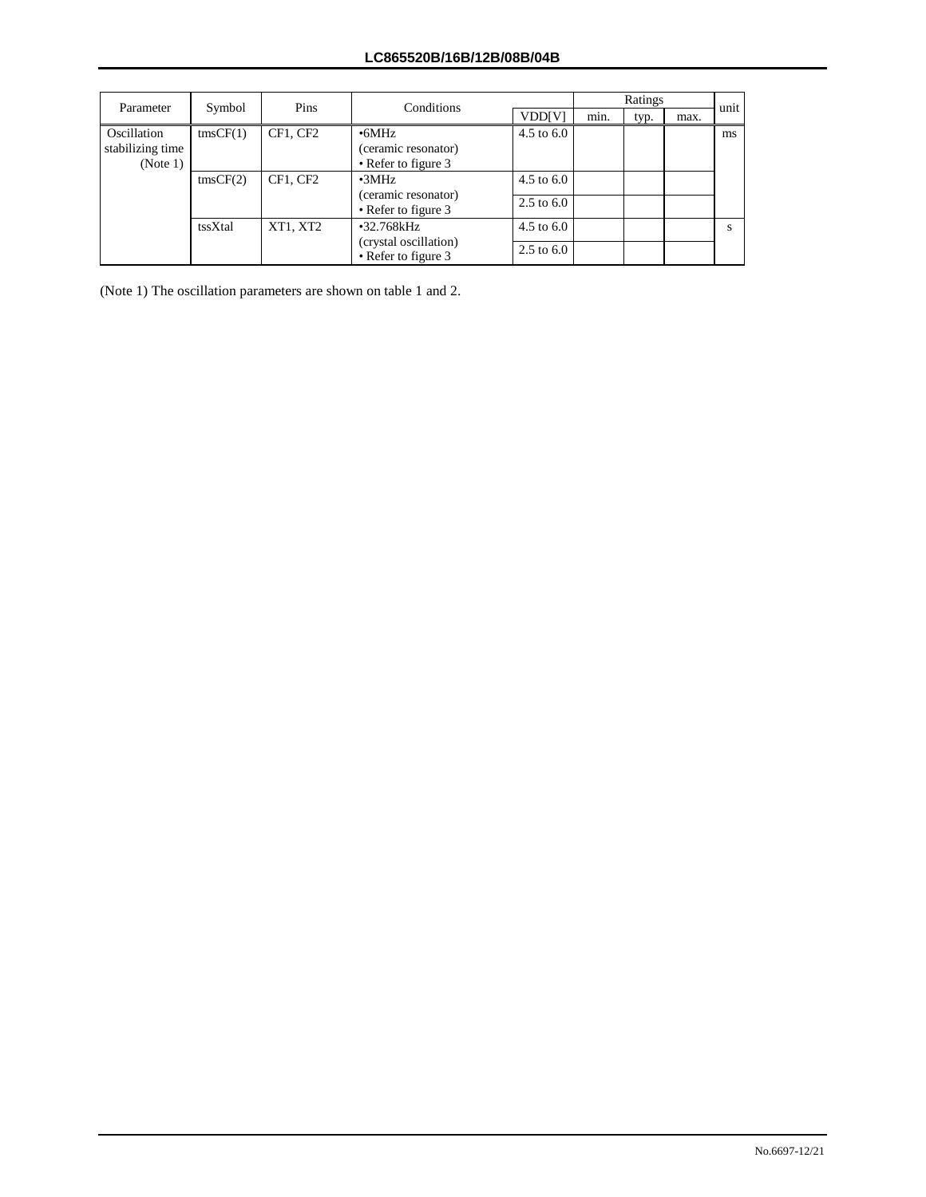| Parameter                                   | Symbol            | Pins     | Conditions                                                 |                       |      | Ratings |      | unit |
|---------------------------------------------|-------------------|----------|------------------------------------------------------------|-----------------------|------|---------|------|------|
|                                             |                   |          |                                                            | VDD[V]                | min. | typ.    | max. |      |
| Oscillation<br>stabilizing time<br>(Note 1) | $\text{tmsCF}(1)$ | CF1, CF2 | $\cdot$ 6MHz<br>(ceramic resonator)<br>• Refer to figure 3 | $4.5 \text{ to } 6.0$ |      |         |      | ms   |
|                                             | $\text{tmsCF}(2)$ | CF1. CF2 | $\cdot$ 3MHz<br>(ceramic resonator)                        | $4.5 \text{ to } 6.0$ |      |         |      |      |
|                                             |                   |          | • Refer to figure 3                                        | $2.5 \text{ to } 6.0$ |      |         |      |      |
|                                             | tssXtal           | XT1, XT2 | •32.768kHz                                                 | $4.5$ to $6.0$        |      |         |      |      |
|                                             |                   |          | (crystal oscillation)<br>• Refer to figure 3               |                       |      |         |      |      |

(Note 1) The oscillation parameters are shown on table 1 and 2.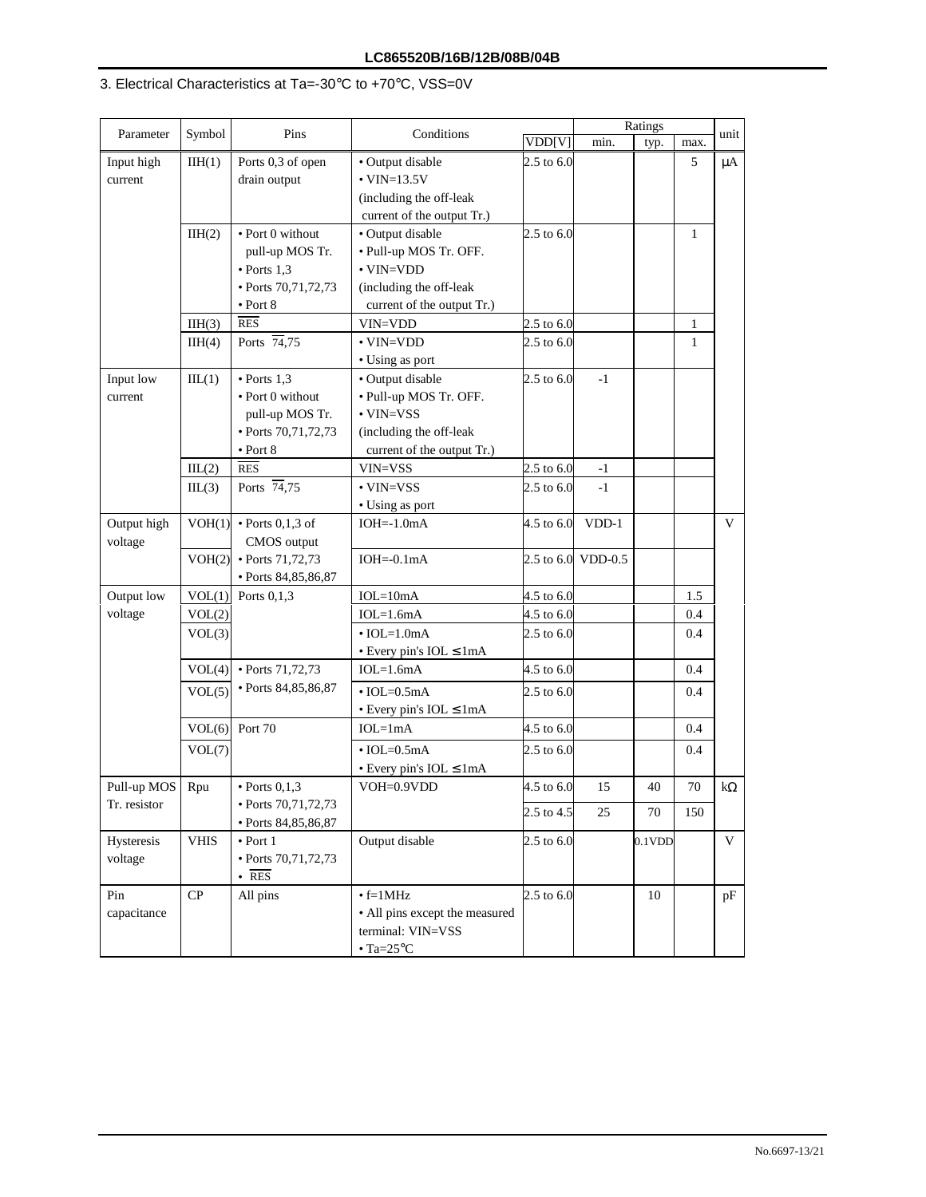## 3. Electrical Characteristics at Ta=-30°C to +70°C, VSS=0V

|                        |             | Pins                                    | Conditions                           |                       |                    | Ratings   |              |           |
|------------------------|-------------|-----------------------------------------|--------------------------------------|-----------------------|--------------------|-----------|--------------|-----------|
| Parameter              | Symbol      |                                         |                                      | VDD[V]                | min.               | typ.      | max.         | unit      |
| Input high             | IIH(1)      | Ports 0,3 of open                       | • Output disable                     | $2.5$ to 6.0          |                    |           | 5            | μA        |
| current                |             | drain output                            | $\cdot$ VIN=13.5V                    |                       |                    |           |              |           |
|                        |             |                                         | (including the off-leak              |                       |                    |           |              |           |
|                        |             |                                         | current of the output Tr.)           |                       |                    |           |              |           |
|                        | IIH(2)      | • Port 0 without                        | • Output disable                     | 2.5 to 6.0            |                    |           | $\mathbf{1}$ |           |
|                        |             | pull-up MOS Tr.                         | • Pull-up MOS Tr. OFF.               |                       |                    |           |              |           |
|                        |             | $\bullet$ Ports 1,3                     | $\cdot$ VIN=VDD                      |                       |                    |           |              |           |
|                        |             | • Ports 70,71,72,73                     | (including the off-leak              |                       |                    |           |              |           |
|                        |             | $\bullet$ Port 8                        | current of the output Tr.)           |                       |                    |           |              |           |
|                        | IIH(3)      | RES                                     | VIN=VDD                              | $2.5 \text{ to } 6.0$ |                    |           | $\mathbf{1}$ |           |
|                        | IIH(4)      | Ports $\overline{74}, 75$               | $\cdot$ VIN=VDD                      | $2.5 \text{ to } 6.0$ |                    |           | $\mathbf{1}$ |           |
|                        |             |                                         | • Using as port                      |                       |                    |           |              |           |
| Input low              | ILL(1)      | $\bullet$ Ports 1,3                     | • Output disable                     | $2.5 \text{ to } 6.0$ | $-1$               |           |              |           |
| current                |             | • Port 0 without                        | • Pull-up MOS Tr. OFF.               |                       |                    |           |              |           |
|                        |             | pull-up MOS Tr.                         | $\cdot$ VIN=VSS                      |                       |                    |           |              |           |
|                        |             | • Ports 70,71,72,73                     | (including the off-leak              |                       |                    |           |              |           |
|                        |             | $\bullet$ Port 8                        | current of the output Tr.)           |                       |                    |           |              |           |
|                        | ILL(2)      | RES                                     | VIN=VSS                              | $2.5$ to 6.0          | $-1$               |           |              |           |
|                        | ILL(3)      | Ports $\overline{74}, 75$               | $\cdot$ VIN=VSS                      | $2.5 \text{ to } 6.0$ | $-1$               |           |              |           |
|                        |             |                                         | • Using as port                      |                       |                    |           |              |           |
| Output high<br>voltage | VOH(1)      | $\bullet$ Ports 0,1,3 of<br>CMOS output | $IOH = -1.0mA$                       | 4.5 to 6.0            | VDD-1              |           |              | V         |
|                        | VOH(2)      | • Ports 71,72,73                        | $IOH = 0.1mA$                        |                       | 2.5 to 6.0 VDD-0.5 |           |              |           |
|                        |             | · Ports 84,85,86,87                     |                                      |                       |                    |           |              |           |
| Output low             | VOL(1)      | Ports $0,1,3$                           | $IOL=10mA$                           | 4.5 to 6.0            |                    |           | 1.5          |           |
| voltage                | VOL(2)      |                                         | $IOL=1.6mA$                          | 4.5 to 6.0            |                    |           | 0.4          |           |
|                        | VOL(3)      |                                         | $\cdot$ IOL=1.0mA                    | $2.5 \text{ to } 6.0$ |                    |           | 0.4          |           |
|                        |             |                                         | • Every pin's IOL ≤ 1mA              |                       |                    |           |              |           |
|                        | VOL(4)      | $\cdot$ Ports 71,72,73                  | $IOL=1.6mA$                          | 4.5 to 6.0            |                    |           | 0.4          |           |
|                        | VOL(5)      | · Ports 84,85,86,87                     | $\cdot$ IOL=0.5mA                    | $2.5 \text{ to } 6.0$ |                    |           | 0.4          |           |
|                        |             |                                         | $\bullet$ Every pin's IOL $\leq$ 1mA |                       |                    |           |              |           |
|                        | VOL(6)      | Port 70                                 | $IOL=1mA$                            | 4.5 to $6.0$          |                    |           | 0.4          |           |
|                        | VOL(7)      |                                         | $\cdot$ IOL=0.5mA                    | 2.5 to 6.0            |                    |           | 0.4          |           |
|                        |             |                                         | • Every pin's $IOL \leq 1mA$         |                       |                    |           |              |           |
| Pull-up MOS   Rpu      |             | $\cdot$ Ports 0.1.3                     | VOH=0.9VDD                           | 4.5 to 6.0            | 15                 | 40        | 70           | $k\Omega$ |
| Tr. resistor           |             | • Ports 70,71,72,73                     |                                      |                       |                    |           |              |           |
|                        |             | · Ports 84,85,86,87                     |                                      | 2.5 to 4.5            | 25                 | 70        | 150          |           |
| Hysteresis             | <b>VHIS</b> | $\bullet$ Port 1                        | Output disable                       | $2.5 \text{ to } 6.0$ |                    | $0.1$ VDD |              | V         |
| voltage                |             | • Ports 70,71,72,73                     |                                      |                       |                    |           |              |           |
|                        |             | $\cdot$ RES                             |                                      |                       |                    |           |              |           |
| Pin                    | ${\bf CP}$  | All pins                                | $\cdot$ f=1MHz                       | $2.5 \text{ to } 6.0$ |                    | 10        |              | pF        |
| capacitance            |             |                                         | • All pins except the measured       |                       |                    |           |              |           |
|                        |             |                                         | terminal: VIN=VSS                    |                       |                    |           |              |           |
|                        |             |                                         | $\cdot$ Ta=25°C                      |                       |                    |           |              |           |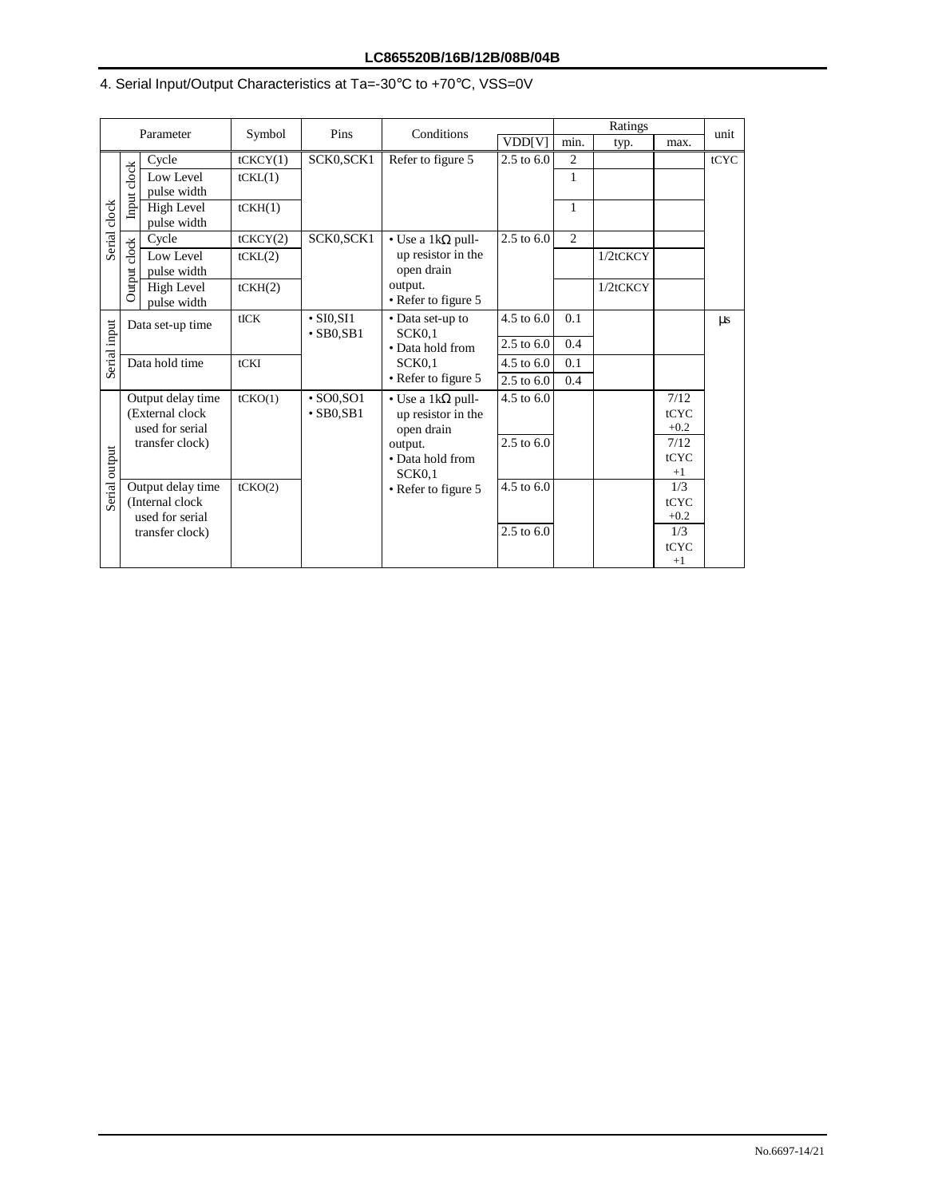# 4. Serial Input/Output Characteristics at Ta=-30°C to +70°C, VSS=0V

|               |                                                                                       | Parameter                                                                   | Symbol                         | Pins                                 | Conditions                                                         |                                                                 |                                                 | Ratings                                      |          | unit |                                                |  |
|---------------|---------------------------------------------------------------------------------------|-----------------------------------------------------------------------------|--------------------------------|--------------------------------------|--------------------------------------------------------------------|-----------------------------------------------------------------|-------------------------------------------------|----------------------------------------------|----------|------|------------------------------------------------|--|
|               |                                                                                       |                                                                             |                                |                                      |                                                                    | VDD[V]                                                          | min.                                            | typ.                                         | max.     |      |                                                |  |
|               |                                                                                       | Cycle                                                                       | tCKCY(1)                       | SCK0, SCK1                           | Refer to figure 5                                                  | $2.5 \text{ to } 6.0$                                           | 2                                               |                                              |          | tCYC |                                                |  |
|               | clock                                                                                 | Low Level<br>pulse width                                                    | tCKL(1)                        |                                      |                                                                    |                                                                 | 1                                               |                                              |          |      |                                                |  |
| Serial clock  | Input                                                                                 | High Level<br>pulse width                                                   | tCKH(1)                        |                                      |                                                                    |                                                                 | 1                                               |                                              |          |      |                                                |  |
|               |                                                                                       | Cycle                                                                       | tCKCY(2)                       | SCK0, SCK1                           | • Use a 1k $\Omega$ pull-                                          | $2.5$ to $6.0$                                                  | 2                                               |                                              |          |      |                                                |  |
|               | clock                                                                                 | Low Level<br>pulse width                                                    | tCKL(2)                        |                                      | up resistor in the<br>open drain<br>output.<br>• Refer to figure 5 |                                                                 |                                                 | 1/2tCKCY                                     |          |      |                                                |  |
|               | Output                                                                                | High Level<br>pulse width                                                   | tCKH(2)                        |                                      |                                                                    |                                                                 |                                                 |                                              | 1/2tCKCY |      |                                                |  |
| Serial input  | Data set-up time                                                                      |                                                                             | tICK                           | $\cdot$ SI0, SI1<br>$\cdot$ SB0, SB1 | • Data set-up to<br>SCK <sub>0.1</sub>                             | $4.5 \text{ to } 6.0$                                           | 0.1                                             |                                              |          | μs   |                                                |  |
|               |                                                                                       |                                                                             |                                |                                      | • Data hold from                                                   | $2.5$ to $6.0\,$                                                | 0.4                                             |                                              |          |      |                                                |  |
|               |                                                                                       | Data hold time                                                              | tCKI                           |                                      | SCK <sub>0</sub> 1                                                 | 4.5 to $6.0$                                                    | 0.1                                             |                                              |          |      |                                                |  |
|               |                                                                                       |                                                                             |                                |                                      | • Refer to figure 5                                                | $2.5$ to $6.0\,$                                                | 0.4                                             |                                              |          |      |                                                |  |
| Serial output | Output delay time<br>tCKO(1)<br>(External clock<br>used for serial<br>transfer clock) |                                                                             |                                | $\cdot$ SO0, SO1<br>$\cdot$ SB0.SB1  |                                                                    | open drain<br>output.<br>• Data hold from<br>SCK <sub>0</sub> 1 | • Use a 1k $\Omega$ pull-<br>up resistor in the | 4.5 to 6.0<br>$2.5 \text{ to } 6.0$          |          |      | 7/12<br>tCYC<br>$+0.2$<br>7/12<br>tCYC<br>$+1$ |  |
|               |                                                                                       | Output delay time<br>(Internal clock)<br>used for serial<br>transfer clock) | tCKO(2)<br>• Refer to figure 5 |                                      | 4.5 to 6.0<br>$2.5$ to $6.0$                                       |                                                                 |                                                 | 1/3<br>tCYC<br>$+0.2$<br>1/3<br>tCYC<br>$+1$ |          |      |                                                |  |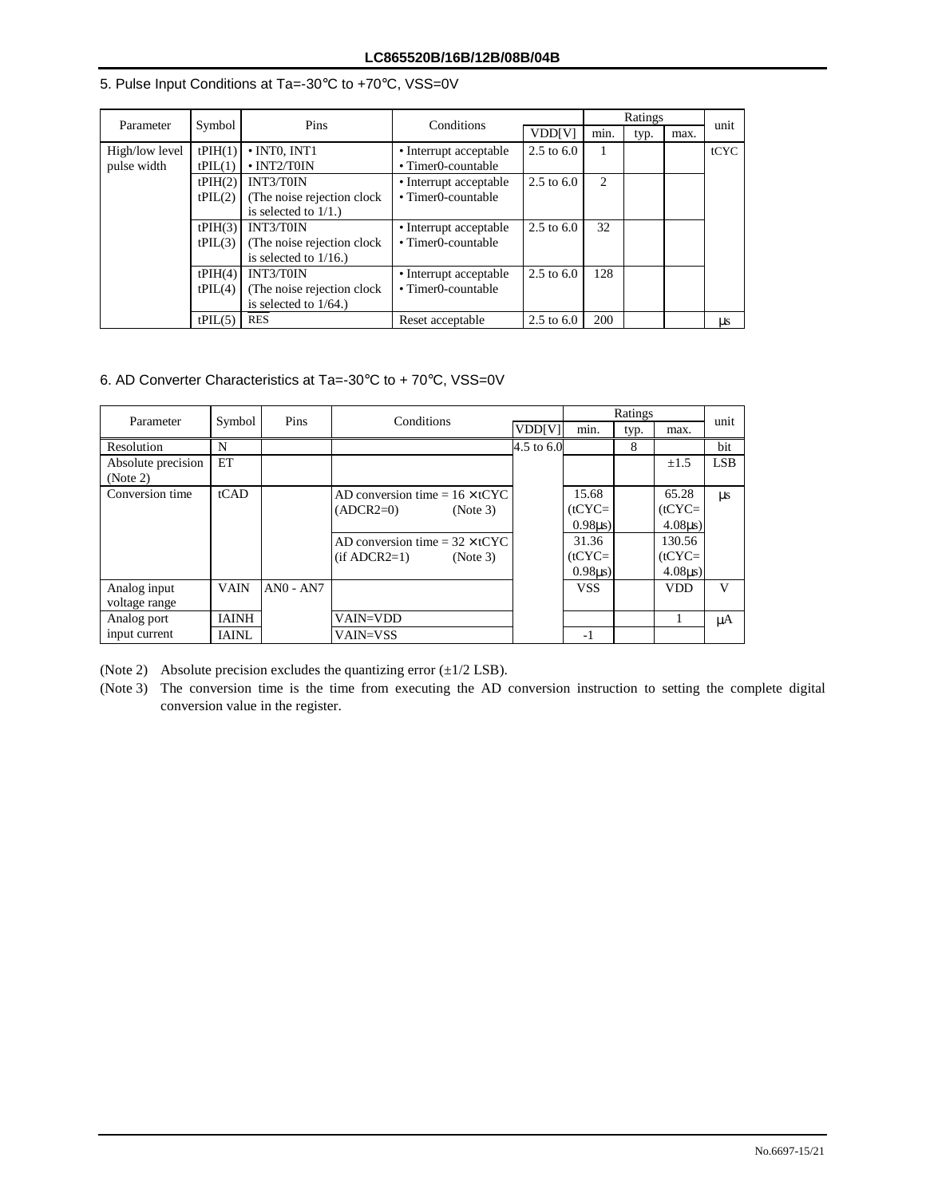| Parameter      | Symbol                                                        | Pins                        | Conditions             |                       | Ratings        | unit |      |           |  |
|----------------|---------------------------------------------------------------|-----------------------------|------------------------|-----------------------|----------------|------|------|-----------|--|
|                |                                                               |                             |                        | <b>VDD[V]</b>         | min.           | typ. | max. |           |  |
| High/low level | tPIH(1)                                                       | $\cdot$ INTO. INT1          | • Interrupt acceptable | $2.5 \text{ to } 6.0$ |                |      |      | tCYC      |  |
| pulse width    | $\cdot$ INT2/T0IN<br>tPIL(1)                                  |                             | • Timer0-countable     |                       |                |      |      |           |  |
|                | INT3/T0IN<br>tPH(2)<br>(The noise rejection clock)<br>tPIL(2) |                             | • Interrupt acceptable | $2.5 \text{ to } 6.0$ | $\mathfrak{D}$ |      |      |           |  |
|                |                                                               |                             | • Timer0-countable     |                       |                |      |      |           |  |
|                |                                                               | is selected to $1/1$ .)     |                        |                       |                |      |      |           |  |
|                | tPH(3)                                                        | INT3/T0IN                   | • Interrupt acceptable | $2.5 \text{ to } 6.0$ | 32             |      |      |           |  |
|                | tPIL(3)                                                       | (The noise rejection clock) | • Timer0-countable     |                       |                |      |      |           |  |
|                |                                                               | is selected to $1/16$ .)    |                        |                       |                |      |      |           |  |
|                | tPH(4)                                                        | <b>INT3/T0IN</b>            | • Interrupt acceptable | 2.5 to $6.0$          | 128            |      |      |           |  |
|                | tPIL(4)                                                       | (The noise rejection clock) | • Timer0-countable     |                       |                |      |      |           |  |
|                | is selected to $1/64$ .)                                      |                             |                        |                       |                |      |      |           |  |
|                | tPIL(5)                                                       | <b>RES</b>                  | Reset acceptable       | $2.5 \text{ to } 6.0$ | 200            |      |      | <b>US</b> |  |

#### 5. Pulse Input Conditions at Ta=-30°C to +70°C, VSS=0V

#### 6. AD Converter Characteristics at Ta=-30°C to + 70°C, VSS=0V

| Parameter          | Symbol       | Pins        | Conditions                            |               |             | Ratings |             | unit       |
|--------------------|--------------|-------------|---------------------------------------|---------------|-------------|---------|-------------|------------|
|                    |              |             |                                       | <b>VDD[V]</b> | min.        | typ.    | max.        |            |
| <b>Resolution</b>  | N            |             |                                       | 4.5 to 6.0    |             | 8       |             | bit        |
| Absolute precision | ET           |             |                                       |               |             |         | $\pm 1.5$   | <b>LSB</b> |
| (Note 2)           |              |             |                                       |               |             |         |             |            |
| Conversion time    | tCAD         |             | AD conversion time = $16 \times tCYC$ |               | 15.68       |         | 65.28       | $\mu$ s    |
|                    |              |             | $(ADCR2=0)$<br>(Note 3)               |               | $(tCYC=$    |         | $(tCYC=$    |            |
|                    |              |             |                                       |               | 0.98us      |         | $4.08\mu s$ |            |
|                    |              |             | AD conversion time = $32 \times tCYC$ |               | 31.36       |         | 130.56      |            |
|                    |              |             | $(if ADCR2=1)$<br>(Note 3)            |               | $(tCYC=$    |         | $(tCYC=$    |            |
|                    |              |             |                                       |               | $0.98\mu s$ |         | $4.08us$ )  |            |
| Analog input       | <b>VAIN</b>  | $ANO - AN7$ |                                       |               | <b>VSS</b>  |         | <b>VDD</b>  | V          |
| voltage range      |              |             |                                       |               |             |         |             |            |
| Analog port        | <b>IAINH</b> |             | VAIN=VDD                              |               |             |         |             | μA         |
| input current      | <b>IAINL</b> |             | <b>VAIN=VSS</b>                       |               | $-1$        |         |             |            |

(Note 2) Absolute precision excludes the quantizing error  $(\pm 1/2$  LSB).

(Note 3) The conversion time is the time from executing the AD conversion instruction to setting the complete digital conversion value in the register.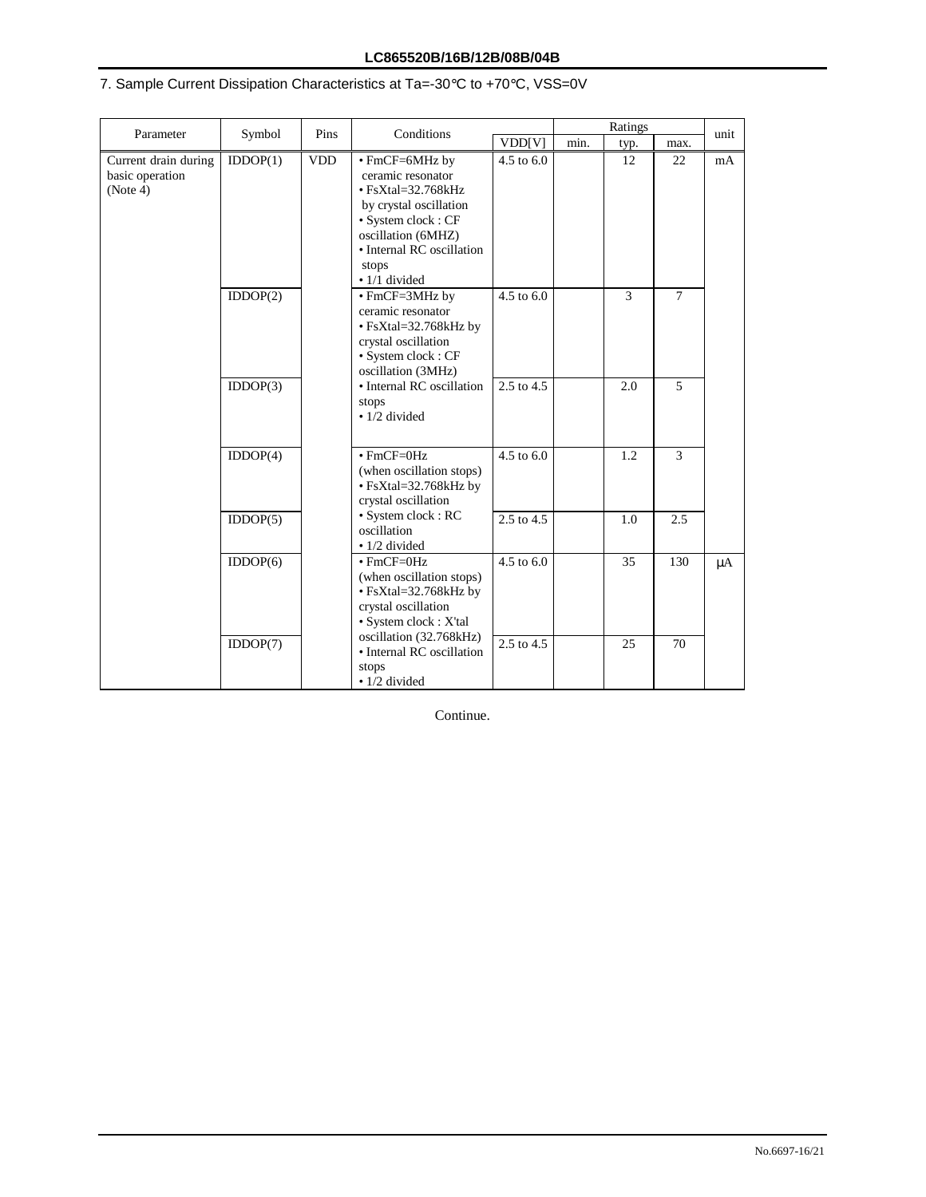## **LC865520B/16B/12B/08B/04B**

# 7. Sample Current Dissipation Characteristics at Ta=-30°C to +70°C, VSS=0V

| Parameter                                           | Symbol                                                                                     | Conditions<br>Pins |                                                                                                                                                                                                      | Ratings               |      |      |        | unit    |
|-----------------------------------------------------|--------------------------------------------------------------------------------------------|--------------------|------------------------------------------------------------------------------------------------------------------------------------------------------------------------------------------------------|-----------------------|------|------|--------|---------|
|                                                     |                                                                                            |                    |                                                                                                                                                                                                      | VDD[V]                | min. | typ. | max.   |         |
| Current drain during<br>basic operation<br>(Note 4) | IDDOP(1)                                                                                   | <b>VDD</b>         | • FmCF=6MHz by<br>ceramic resonator<br>$\cdot$ FsXtal=32.768kHz<br>by crystal oscillation<br>· System clock: CF<br>oscillation (6MHZ)<br>• Internal RC oscillation<br>stops<br>$\bullet$ 1/1 divided | 4.5 to 6.0            |      | 12   | 22     | mA      |
|                                                     | IDDOP(2)                                                                                   |                    | • FmCF=3MHz by<br>ceramic resonator<br>• FsXtal=32.768kHz by<br>crystal oscillation<br>· System clock: CF<br>oscillation (3MHz)                                                                      | 4.5 to 6.0            |      | 3    | $\tau$ |         |
|                                                     | IDDOP(3)                                                                                   |                    | • Internal RC oscillation<br>stops<br>$\cdot$ 1/2 divided                                                                                                                                            | 2.5 to 4.5            |      | 2.0  | 5      |         |
|                                                     | IDDOP(4)                                                                                   |                    | $\cdot$ FmCF=0Hz<br>(when oscillation stops)<br>• FsXtal=32.768kHz by<br>crystal oscillation                                                                                                         | $4.5 \text{ to } 6.0$ |      | 1.2  | 3      |         |
|                                                     | IDDOP(5)                                                                                   |                    | · System clock : RC<br>oscillation<br>· 1/2 divided                                                                                                                                                  | 2.5 to 4.5            |      | 1.0  | 2.5    |         |
|                                                     | IDDOP(6)                                                                                   |                    | $\cdot$ FmCF=0Hz<br>(when oscillation stops)<br>• FsXtal=32.768kHz by<br>crystal oscillation<br>· System clock : X'tal                                                                               | 4.5 to 6.0            |      | 35   | 130    | $\mu A$ |
|                                                     | oscillation (32.768kHz)<br>IDDOP(7)<br>• Internal RC oscillation<br>stops<br>· 1/2 divided | 2.5 to 4.5         |                                                                                                                                                                                                      | 25                    | 70   |      |        |         |

Continue.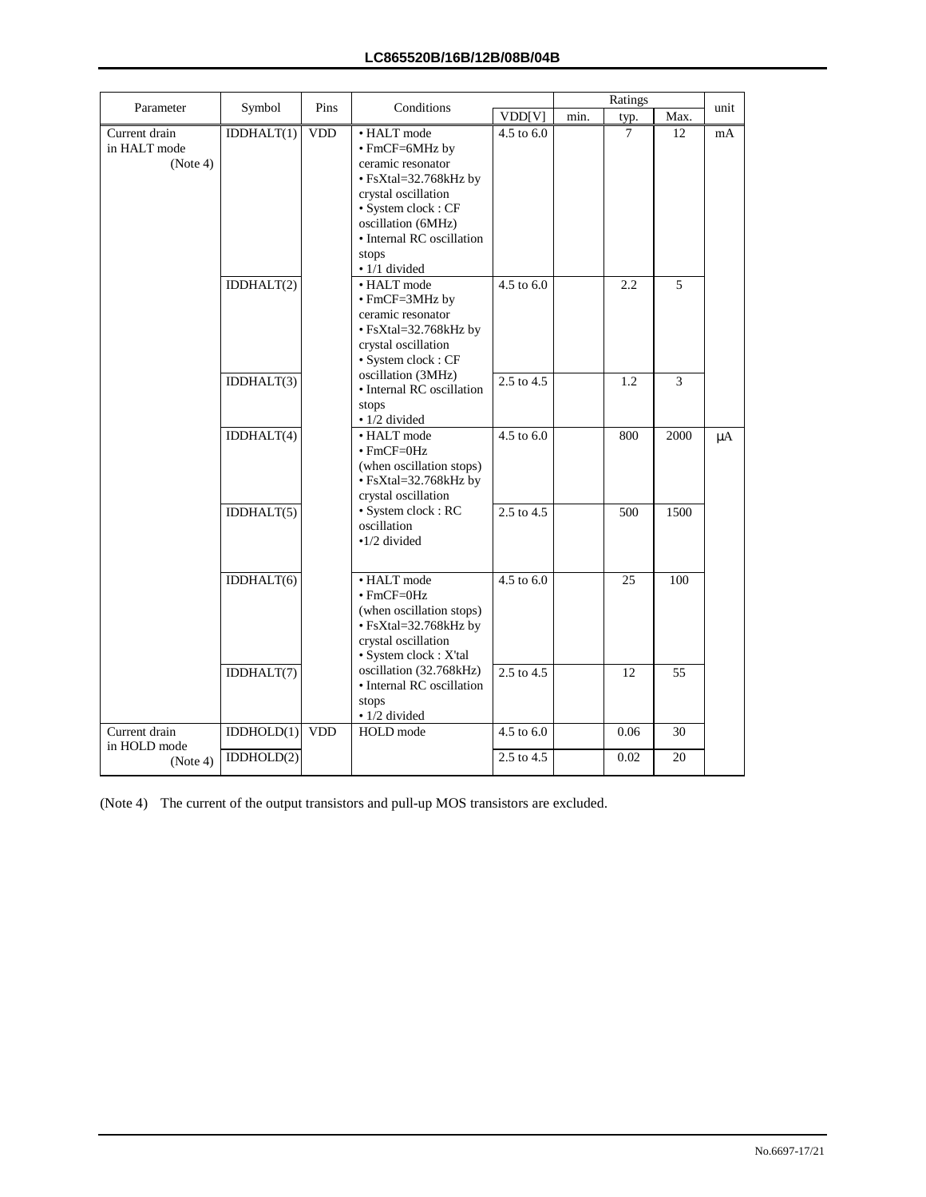| Parameter                                 | Symbol     | Conditions<br>Pins | Ratings                                                                                                                                                                                                      |                |      |      | unit |         |
|-------------------------------------------|------------|--------------------|--------------------------------------------------------------------------------------------------------------------------------------------------------------------------------------------------------------|----------------|------|------|------|---------|
|                                           |            |                    |                                                                                                                                                                                                              | VDD[V]         | min. | typ. | Max. |         |
| Current drain<br>in HALT mode<br>(Note 4) | IDDHALT(1) | <b>VDD</b>         | • HALT mode<br>• FmCF=6MHz by<br>ceramic resonator<br>• FsXtal=32.768kHz by<br>crystal oscillation<br>· System clock : CF<br>oscillation (6MHz)<br>• Internal RC oscillation<br>stops<br>$\cdot$ 1/1 divided | 4.5 to 6.0     |      | 7    | 12   | mA      |
|                                           | IDDHALT(2) |                    | • HALT mode<br>$\cdot$ FmCF=3MHz by<br>ceramic resonator<br>• FsXtal=32.768kHz by<br>crystal oscillation<br>· System clock: CF                                                                               | 4.5 to 6.0     |      | 2.2  | 5    |         |
|                                           | IDDHALT(3) |                    | oscillation (3MHz)<br>• Internal RC oscillation<br>stops<br>$\bullet$ 1/2 divided                                                                                                                            | 2.5 to 4.5     |      | 1.2  | 3    |         |
|                                           | IDDHALT(4) |                    | • HALT mode<br>$\cdot$ FmCF=0Hz<br>(when oscillation stops)<br>• FsXtal=32.768kHz by<br>crystal oscillation                                                                                                  | $4.5$ to $6.0$ |      | 800  | 2000 | $\mu A$ |
|                                           | IDDHALT(5) |                    | · System clock: RC<br>oscillation<br>$\cdot$ 1/2 divided                                                                                                                                                     | 2.5 to 4.5     |      | 500  | 1500 |         |
|                                           | IDDHALT(6) |                    | • HALT mode<br>$\cdot$ FmCF=0Hz<br>(when oscillation stops)<br>• FsXtal=32.768kHz by<br>crystal oscillation<br>· System clock : X'tal                                                                        | 4.5 to 6.0     |      | 25   | 100  |         |
|                                           | IDDHALT(7) |                    | oscillation (32.768kHz)<br>· Internal RC oscillation<br>stops<br>$\bullet$ 1/2 divided                                                                                                                       | 2.5 to 4.5     |      | 12   | 55   |         |
| Current drain                             | IDDHOLD(1) | <b>VDD</b>         | HOLD mode                                                                                                                                                                                                    | 4.5 to 6.0     |      | 0.06 | 30   |         |
| in HOLD mode<br>(Note 4)                  | IDDHOLD(2) |                    |                                                                                                                                                                                                              | 2.5 to 4.5     |      | 0.02 | 20   |         |

(Note 4) The current of the output transistors and pull-up MOS transistors are excluded.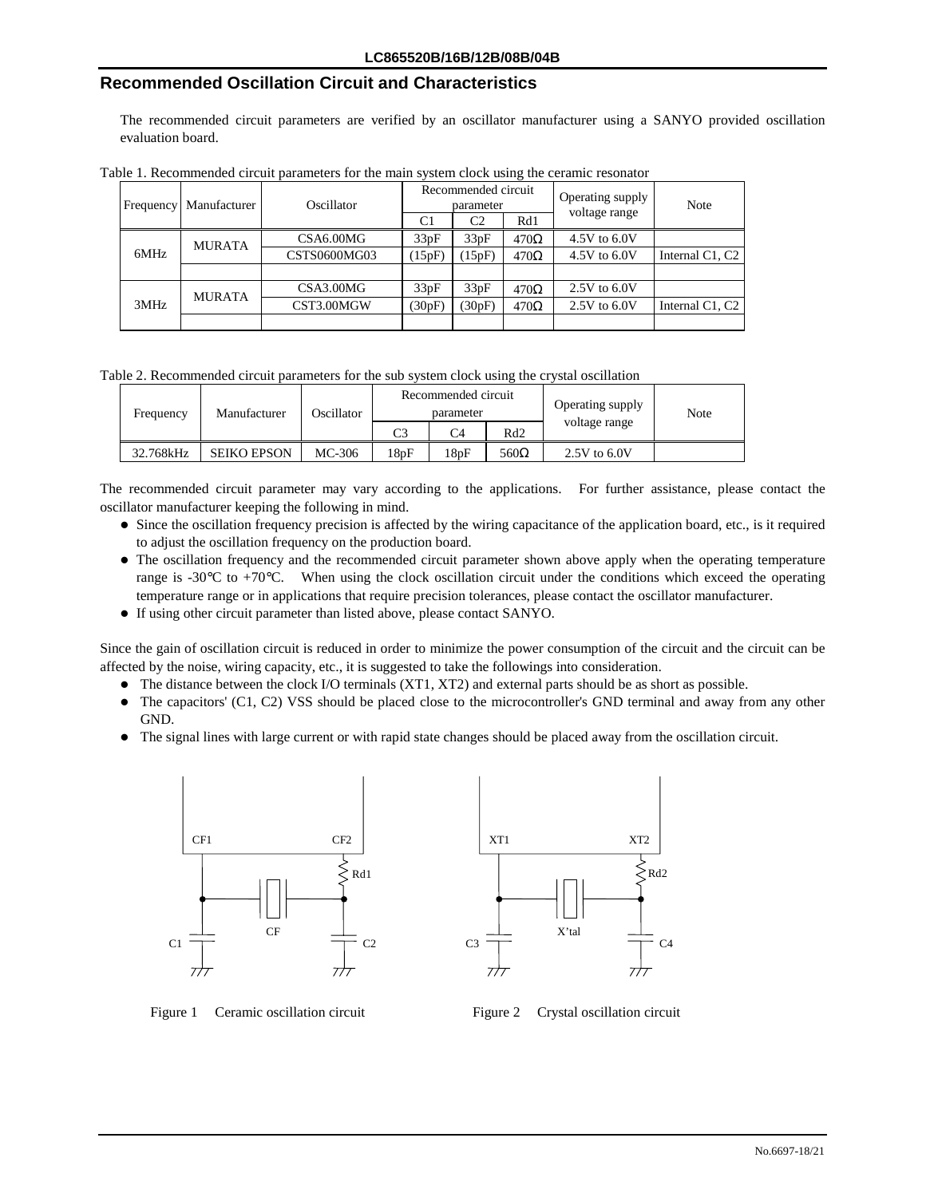## **Recommended Oscillation Circuit and Characteristics**

The recommended circuit parameters are verified by an oscillator manufacturer using a SANYO provided oscillation evaluation board.

| Frequency | Manufacturer  | Oscillator    |              | Recommended circuit<br>parameter |        | Operating supply | Note             |                 |
|-----------|---------------|---------------|--------------|----------------------------------|--------|------------------|------------------|-----------------|
|           |               |               | C1           | C <sub>2</sub>                   | Rd1    | voltage range    |                  |                 |
|           | <b>MURATA</b> |               | CSA6.00MG    | 33pF                             | 33pF   | $470\Omega$      | 4.5V to 6.0V     |                 |
|           | 6MHz          |               | CSTS0600MG03 | (15pF)                           | 15pF   | $470\Omega$      | 4.5V to 6.0V     | Internal C1, C2 |
|           |               |               |              |                                  |        |                  |                  |                 |
|           |               | <b>MURATA</b> | CSA3.00MG    | 33pF                             | 33pF   | $470\Omega$      | $2.5V$ to $6.0V$ |                 |
|           | 3MHz          | CST3.00MGW    |              | (30pF)                           | (30pF) | $470\Omega$      | $2.5V$ to 6.0V   | Internal C1, C2 |
|           |               |               |              |                                  |        |                  |                  |                 |

Table 1. Recommended circuit parameters for the main system clock using the ceramic resonator

Table 2. Recommended circuit parameters for the sub system clock using the crystal oscillation

| Frequency | Manufacturer       | Oscillator |          | Recommended circuit<br>parameter |                 | Operating supply | Note |  |
|-----------|--------------------|------------|----------|----------------------------------|-----------------|------------------|------|--|
|           |                    |            | $\Gamma$ | C4                               | Rd <sub>2</sub> | voltage range    |      |  |
| 32.768kHz | <b>SEIKO EPSON</b> | MC-306     | l 8pF    | 18pF                             | $560\Omega$     | $2.5V$ to $6.0V$ |      |  |

The recommended circuit parameter may vary according to the applications. For further assistance, please contact the oscillator manufacturer keeping the following in mind.

- Since the oscillation frequency precision is affected by the wiring capacitance of the application board, etc., is it required to adjust the oscillation frequency on the production board.
- The oscillation frequency and the recommended circuit parameter shown above apply when the operating temperature range is  $-30^{\circ}\text{C}$  to  $+70^{\circ}\text{C}$ . When using the clock oscillation circuit under the conditions which exceed the operating temperature range or in applications that require precision tolerances, please contact the oscillator manufacturer.
- !"If using other circuit parameter than listed above, please contact SANYO.

Since the gain of oscillation circuit is reduced in order to minimize the power consumption of the circuit and the circuit can be affected by the noise, wiring capacity, etc., it is suggested to take the followings into consideration.

- The distance between the clock I/O terminals (XT1, XT2) and external parts should be as short as possible.
- $\bullet$  The capacitors' (C1, C2) VSS should be placed close to the microcontroller's GND terminal and away from any other GND.
- !"The signal lines with large current or with rapid state changes should be placed away from the oscillation circuit.



Figure 1 Ceramic oscillation circuit Figure 2 Crystal oscillation circuit

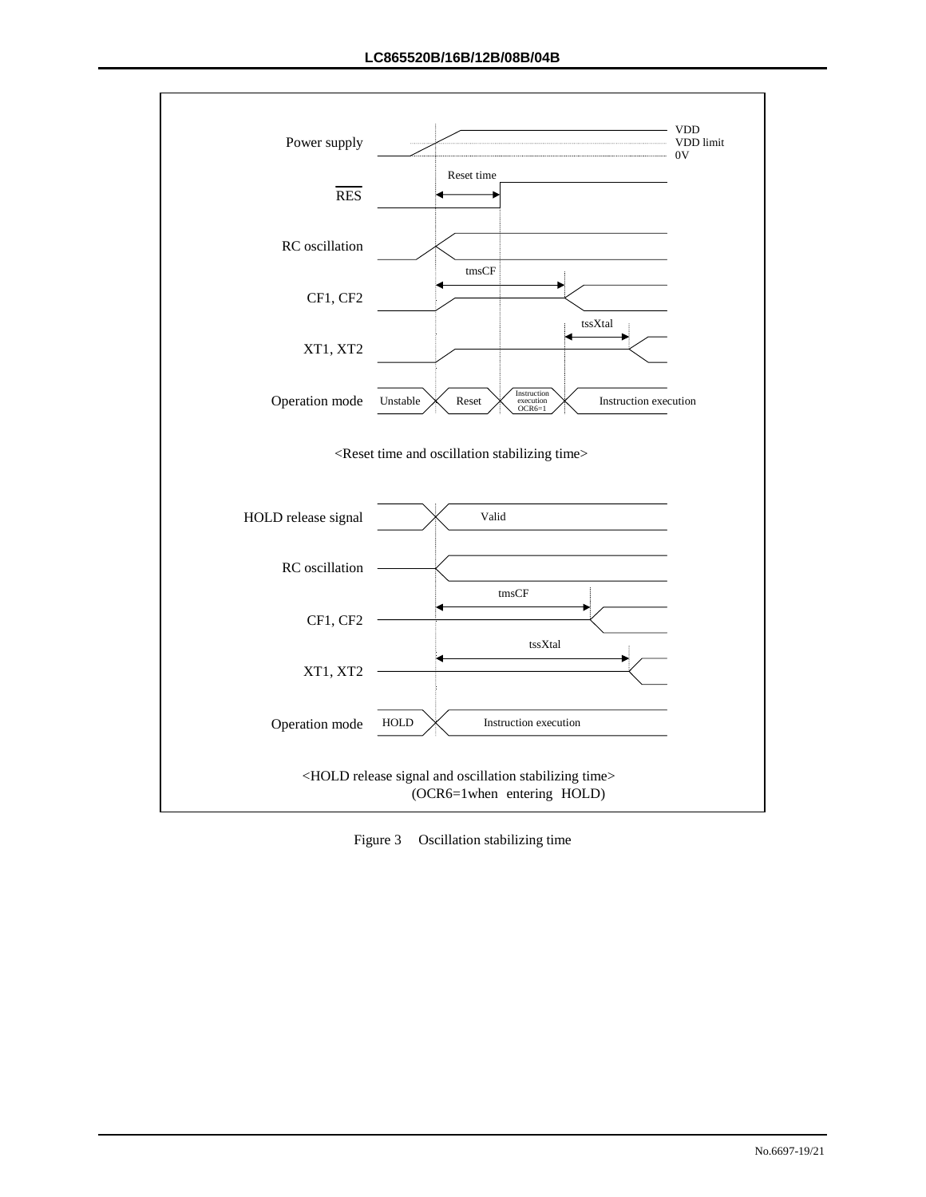

Figure 3 Oscillation stabilizing time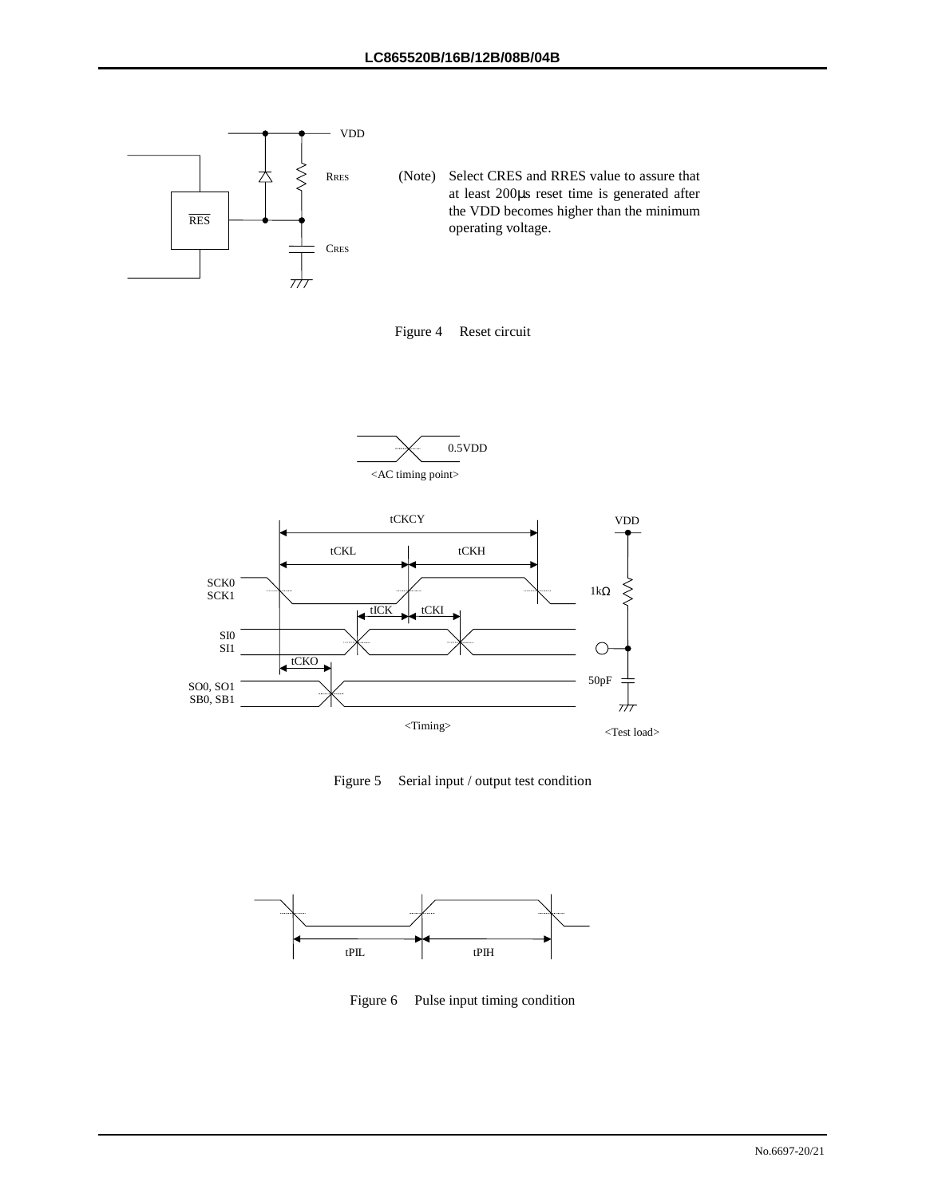







Figure 5 Serial input / output test condition



Figure 6 Pulse input timing condition